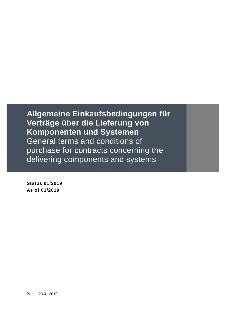**Status 01/2019 As of 01/2019**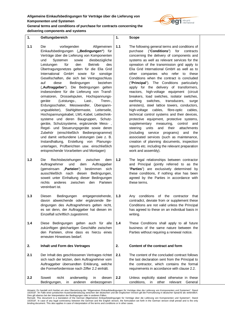

**delivering components and systems**

**1. Geltungsbereich**

- **1.1** Die vorliegenden Allgemeinen Einkaufsbedingungen (**"Bedingungen"**) für Verträge über die Lieferung von Komponenten und Systemen sowie diesbezügliche Leistungen für den Betrieb des Übertragungsnetzes gelten für die Elia Grid International GmbH sowie für sonstige Gesellschaften, die sich bei Vertragsschluss auf diese Bedingungen beziehen ("Auftraggeber"). Die Bedingungen gelten insbesondere für die Lieferung von Transformatoren, Drosselspulen, Hochspannungsgeräte (Leistungs-, Last-, Trenn-, Erdungsschalter, Messwandler, Überspannungsableiter), Stahlgittermaste, Leiterseile, Hochspannungskabel, LWL-Kabel, Leittechniksysteme und deren Baugruppen, Schutzgeräte, Schutzsysteme, ergänzende Mess- , Regel- und Steuerungsgeräte sowie deren Zubehör (einschließlich Bedienprogramme) und damit verbundene Leistungen (wie z. B. Instandhaltung, Erstellung von Planungsunterlagen, Prüfberichten usw. einschließlich entsprechende Vorarbeiten und Montagen)
- **1.2** Die Rechtsbeziehungen zwischen dem Auftragnehmer und dem Auftraggeber (gemeinsam "Parteien") bestimmen sich ausschließlich nach diesen Bedingungen, soweit unter Einhaltung dieser Bedingungen nichts anderes zwischen den Parteien vereinbart ist.
- **1.3** Diesen Bedingungen entgegenstehende, davon abweichende oder ergänzende Bedingungen des Auftragnehmers gelten nicht, es sei denn, der Auftraggeber hat diesen im Einzelfall schriftlich zugestimmt.
- **1.4** Diese Bedingungen gelten auch für alle zukünftigen gleichartigen Geschäfte zwischen den Parteien, ohne dass es hierzu eines erneuten Hinweises bedarf.

**2. Inhalt und Form des Vertrages**

**2.1** Der Inhalt des geschlossenen Vertrages richtet sich nach der letzten, dem Auftragnehmer vom Auftraggeber übersandten Erklärung, welche die Formerfordernisse nach Ziffer 2.2 einhält.

**1. Scope**

- **1.1** The following general terms and conditions of purchase ("**Conditions**") for contracts concerning the delivery of components and systems as well as relevant services for the opreation of the transmission grid apply to Elia Grid International GmbH as well as to other companies who refer to these Conditions when the contract is concluded ("**Principal**"). The Conditions particularly apply for the delivery of transformers, reactors, high-voltage equipment (circuit breakers, load switches, isolator switches, earthing switches, transducers, surge arresters), steel lattice towers, conductors, high-voltage cables, fibre-optic cables, technical control systems and their devices, protective equipment, protective systems, supplementary measuring, control and steering units and their attachments (including service programs) and the associated services (such as maintenance, creation of planning documents, inspection reports etc. including the relevant preparation work and assembly).
- **1.2** The legal relationships between contractor and Principal (jointly referred to as the "**Parties**") are exclusively determined by these conditions, if nothing else has been agreed by the Parties in accordance with these terms.
- **1.3** Any conditions of the contractor that contradict, deviate from or supplement these Conditions are not valid unless the Principal has agreed to these on an individual basis in writing.
- **1.4** These Conditions shall apply to all future business of the same nature between the Parties without requiring a renewal notice.

# **2. Content of the contract and form**

**2.1** The content of the concluded contract follows the last declaration sent from the Principal to the contractor, which contains the formal requirements in accordance with clause 2.2.

**<sup>2.2</sup>** Soweit nicht anderweitig in diesen Bedingungen, in anderen einbezogenen **2.2** Unless explicitly stated otherwise in these conditions, in other relevant General

Hinweis: Es handelt sich hierbei um eine Ubersetzung der "Allgemeinen Einkaufsbedingungen für Verträge über die Lieferung von Komponenten und Systemen", Stand<br>10/2018". Im Falle einer juristischen Auseinandersetzung zwisch

Dies gilt ebenso bei der Interpretation der Bedingungen oder in anderen Fällen.<br>Remark: This document is a translation of the German Allgemeinen Einkaufsbedingungen für Verträge über die Lieferung von Komponenten und Syste 10/2018". In case of any legal controversy between the German and the English version, the formulation set forth in the German version shall prevail and is the only<br>binding document. This also applies in case of interpreta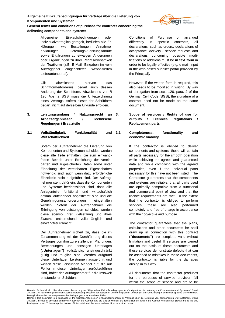

**General terms and conditions of purchase for contracts concerning the delivering components and systems**

> Allgemeinen Einkaufsbedingungen oder individualvertraglich geregelt, bedürfen alle Erklärungen, wie Bestellungen, Annahmeerklärungen, Lieferungs-/Leistungsabrufe sowie Erklärungen zu etwaigen Änderungen oder Ergänzungen zu ihrer Rechtswirksamkeit der **Textform** (z.B. E-Mail; Eingaben im vom Auftraggeber eingerichteten webbasierten Lieferantenportal)**.**

> Gilt abweichend hiervon das Schriftformerfordernis, bedarf auch dessen Änderung der Schriftform. Abweichend von § 126 Abs. 2 BGB muss die Unterzeichnung eines Vertrags, sofern dieser der Schriftform bedarf, nicht auf derselben Urkunde erfolgen.

- **3. Leistungsumfang / Nutzungsrecht an Arbeitsergebnissen / Technische Regelungen / Ersatzteile**
- **3.1 Vollständigkeit, Funktionalität und Wirtschaftlichkeit**

Sofern der Auftragnehmer die Lieferung von Komponenten und Systemen schuldet, werden diese alle Teile enthalten, die zum einwandfreien Betrieb unter Erreichung der vereinbarten und zugesicherten Daten sowie unter Einhaltung der vereinbarten Eigenschaften notwendig sind, auch wenn dazu erforderliche Einzelteile nicht aufgeführt sind. Der Auftragnehmer steht dafür ein, dass die Komponenten und Systeme betriebssicher sind, dass alle Anlagenteile funktional und wirtschaftlich optimal aufeinander abgestimmt sind und die Genehmigungsanforderungen eingehalten werden. Sofern der Auftragnehmer die Erbringung von Leistungen schuldet, werden diese ebenso ihrer Zielsetzung und ihres Zwecks entsprechend vollumfänglich und einwandfrei erbracht.

Der Auftragnehmer sichert zu, dass die im Zusammenhang mit der Durchführung dieses Vertrages von ihm zu erstellenden Planungen, Berechnungen und sonstigen Unterlagen **("Unterlagen")** vollständig, uneingeschränkt gültig und tauglich sind. Werden aufgrund dieser Unterlagen Leistungen ausgeführt und weisen diese Leistungen Mängel auf, die auf Fehler in diesen Unterlagen zurückzuführen sind, haftet der Auftragnehmer für die insoweit entstandenen Schäden.

Conditions of Purchase or arranged differently in specific contracts, all declarations, such as orders, declarations of acceptance, delivery / service requests and declarations concerning possible modifications or additions must be **in text form** in order to be legally effective (e.g. e-mail, input in the web-based supplier portal provided by the Principal)**.**

However, if the written form is required, this also needs to be modified in writing. By way of derogation from sect. 126, para. 2 of the German Civil Code (BGB), the signature of a contract need not be made on the same document.

**3. Scope of services / Rights of use for outputs / Technical regulations / Replacement parts**

**3.1 Completeness, functionality and economic viability** 

> If the contractor is obliged to deliver components and systems, these will contain all parts necessary for the smooth operation while achieving the agreed and guaranteed data and while complying with the agreed properties, even if the individual parts necessary for this have not been listed. The Contractor guarantees that the components and systems are reliable, that all parts used are optimally compatible from a functional and commercial point of view and that the licence requirements are met. To the extent that the contractor is obliged to perform services, these are also performed completely and free of charge in accordance with their objective and purpose.

> The contractor guarantees that the plans, calculations and other documents he shall draw up in connection with this contract **("documents")** are complete, valid without limitation and useful. If services are carried out on the basis of these documents and these services demonstrate defects that can be ascribed to mistakes in these documents, the contractor is liable for the damages arising in this way.

All documents that the contractor produces for the purposes of service provision fall within the scope of service and are to be

Hinweis: Es handelt sich hierbei um eine Übersetzung der "Allgemeinen Einkaufsbedingungen für Verträge über die Lieferung von Komponenten und Systemen", Stand 10/2018". Im Falle einer juristischen Auseinandersetzung zwischen der deutschen und der englischen Version gilt die Formulierung in deutscher Sprache als verbindlich.

Dies gilt ebenso bei der Interpretation der Bedingungen oder in anderen Fällen.<br>Remark: This document is a translation of the German Allgemeinen Einkaufsbedingungen für Verträge über die Lieferung von Komponenten und Syste 10/2018". In case of any legal controversy between the German and the English version, the formulation set forth in the German version shall prevail and is the only<br>binding document. This also applies in case of interpreta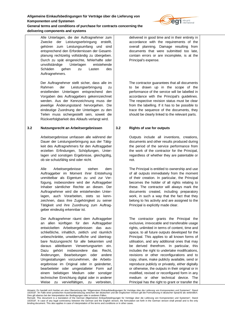

Alle Unterlagen, die der Auftragnehmer zum Zwecke der Leistungserbringung erstellt, gehören zum Leistungsumfang und sind entsprechend den Erfordernissen der Gesamtplanung rechtzeitig vollständig zu übergeben. Durch zu spät eingereichte, fehlerhafte oder unvollständige Unterlagen entstehende Schäden gehen zu Lasten des Auftragnehmers.

**delivering components and systems**

Der Auftragnehmer stellt sicher, dass alle im Rahmen der Leistungserbringung zu erstellenden Unterlagen entsprechend den Vorgaben des Auftraggebers gekennzeichnet werden. Aus der Kennzeichnung muss der jeweilige Änderungsstand hervorgehen. Die eindeutige Zuordnung der Unterlagen zu den Teilen muss sichergestellt sein, soweit die Rückverfolgbarkeit des Ablaufs verlangt wird.

# **3.2 Nutzungsrecht an Arbeitsergebnissen**

Arbeitsergebnisse umfassen alle während der Dauer der Leistungserbringung aus der Tätigkeit des Auftragnehmers für den Auftraggeber erzielten Erfindungen, Schöpfungen, Unterlagen und sonstigen Ergebnisse, gleichgültig, ob sie schutzfähig sind oder nicht.

Alle Arbeitsergebnisse stehen dem Auftraggeber im Moment ihrer Entstehung unmittelbar als Eigentum zu und zur Verfügung, insbesondere wird der Auftraggeber Inhaber sämtlicher Rechte an diesen. Der Auftragnehmer wird die entstehenden Unterlagen, auch Vorarbeiten, stets so kennzeichnen, dass ihre Zugehörigkeit zu seiner Tätigkeit und ihre Zuordnung zum Auftraggeber eindeutig erkennbar ist.

Der Auftragnehmer räumt dem Auftraggeber an allen künftigen für den Auftraggeber entwickelten Arbeitsergebnissen das ausschließliche, inhaltlich, zeitlich und räumlich unbeschränkte, unwiderrufliche und übertragbare Nutzungsrecht für alle bekannten und daraus ableitbaren Verwertungsarten ein. Dazu gehört insbesondere das Recht, Änderungen, Bearbeitungen oder andere Umgestaltungen vorzunehmen, die Arbeitsergebnisse im Original oder in geänderter, bearbeiteter oder umgestalteter Form auf einem beliebigen Medium oder sonstiger technischer Einrichtung digital oder in anderer Weise zu vervielfältigen, zu verbreiten,

delivered in good time and in their entirety in accordance with the requirements of the overall planning. Damage resulting from documents that were submitted too late, contain errors or are incomplete, is at the Principal's expense.

The contractor guarantees that all documents to be drawn up in the scope of the performance of the service will be labelled in accordance with the Principal's guidelines. The respective revision status must be clear from the labelling. If it has to be possible to trace the sequence of the documents, they should be clearly linked to the relevant parts.

# **3.2 Rights of use for outputs**

Outputs include all inventions, creations, documents and other results produced during the period of the service performance from the work of the contractor for the Principal, regardless of whether they are patentable or not.

The Principal is entitled to ownership and use of all outputs immediately from the moment of their creation. In particular, the Principal becomes the holder of all rights relating to these. The contractor will always mark the documents created, including preparatory work, in such a way that the fact that they belong to his activity and are assigned to the Principal is explicitly made clear.

The contractor grants the Principal the exclusive, irrevocable and transferable usage rights, unlimited in terms of content, time and space, to all future outputs developed for the Principal. This applies to all known forms of utilisation, and any additional ones that may be derived therefrom. In particular, this includes the right to undertake modifications, revisions or other reconfigurations and to copy, share, make publicly available, send or reproduce publicly or privately, either digitally or otherwise, the outputs in their original or in modified, revised or reconfigured form in any medium or other technical device. The Principal has the right to grant or transfer the

Hinweis: Es handelt sich hierbei um eine Übersetzung der "Allgemeinen Einkaufsbedingungen für Verträge über die Lieferung von Komponenten und Systemen", Stand 10/2018". Im Falle einer juristischen Auseinandersetzung zwischen der deutschen und der englischen Version gilt die Formulierung in deutscher Sprache als verbindlich.

Dies gilt ebenso bei der Interpretation der Bedingungen oder in anderen Fällen.<br>Remark: This document is a translation of the German Allgemeinen Einkaufsbedingungen für Verträge über die Lieferung von Komponenten und Syste 10/2018". In case of any legal controversy between the German and the English version, the formulation set forth in the German version shall prevail and is the only<br>binding document. This also applies in case of interpreta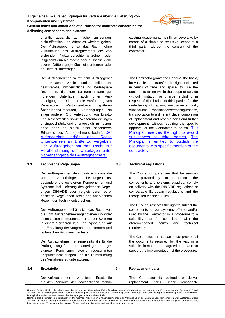

**delivering components and systems**

öffentlich zugänglich zu machen, zu senden, nicht-öffentlich und öffentlich wiederzugeben. Der Auftraggeber erhält das Recht, ohne Zustimmung des Auftragnehmers die vorstehenden Nutzungsrechte einzelnen oder insgesamt durch einfache oder ausschließliche Lizenz Dritten gegenüber einzuräumen oder an Dritte zu übertragen.

Der Auftragnehmer räumt dem Auftraggeber das einfache, zeitlich und räumlich unbeschränkte, unwiderrufliche und übertragbare Recht ein, die zum Leistungsumfang gehörenden Unterlagen auch unter Aushändigung an Dritte für die Ausführung von Reparaturen, Wartungsarbeiten, späteren Änderungen/Umbauten, Verbringungen an einen anderen Ort, Anfertigung von Ersatzund Reserveteilen sowie Weiterentwicklungen uneingeschränkt und unentgeltlich zu nutzen, ohne dass es hierzu einer besonderen Erlaubnis des Auftragnehmers bedarf. Der Auftraggeber erhält das Recht, Unterlizenzen an Dritte zu vergeben. Der Auftraggeber hat das Recht zur Veröffentlichung der Unterlagen unter Namensangabe des Auftragnehmers.

# **3.3 Technische Regelungen**

**3.4 Ersatzteile**

Der Auftragnehmer steht dafür ein, dass die von ihm zu erbringenden Leistungen, insbesondere die gelieferten Komponenten und Systeme, bei Lieferung den geltenden Regelungen **DIN-VDE** oder vergleichbaren europäischen Regelungen sowie den anerkannten Regeln der Technik entsprechen.

Der Auftraggeber behält sich das Recht vor, die vom Auftragnehmerangebotenen und/oder eingesetzten Komponenten und/oder Systeme in einem Verfahren zur Eignungsprüfung auf die Einhaltung der vorgenannten Normen und technischen Richtlinien zu testen.

Der Auftragnehmer hat seinerseits alle für die Prüfung angeforderten Unterlagen in geeigneter Form zum jeweils abgestimmten Zeitpunkt beizubringen und die Durchführung des Verfahrens zu unterstützen.

existing usage rights, jointly or severally, by means of a simple or exclusive licence to a third party, without the consent of the contractor.

The Contractor grants the Principal the basic, irrevocable and transferable right, unlimited in terms of time and space, to use the documents falling within the scope of service without limitation or charge, including in respect of distribution to third parties for the undertaking of repairs, maintenance work, subsequent modifications/reconfigurations, transportation to a different place, completion of replacement and reserve parts and further development, without requiring the specific approval of the Contractor to do so. The Principal reserves the right to award sublicences to third parties. The Principal is entitled to publish the documents with specific mention of the contractor.

# **3.3 Technical regulations**

The Contractor guarantees that the services to be provided by him, in particular the components and systems supplied, comply on delivery with the **DIN-VDE** regulations or comparable European regulations and the recognised technical rules.

The Principal reserves the right to subject the components and/or systems offered and/or used by the Contractor in a procedure to a suitability test for compliance with the aforementioned norms and technical requirements.

The Contractor, for his part, must provide all the documents required for the test in a suitable format at the agreed time and to support the implementation of the procedure.

| <b>Ersatzteile</b>                                                                           | 3.4 | <b>Replacement parts</b>                                              |            |
|----------------------------------------------------------------------------------------------|-----|-----------------------------------------------------------------------|------------|
| Der Auftragnehmer ist verpflichtet, Ersatzteile<br>für den Zeitraum der gewöhnlichen techni- |     | The Contractor is obliged to deliver<br>under<br>parts<br>replacement | reasonable |

Dies gilt ebenso bei der Interpretation der Bedingungen oder in anderen Fällen.<br>Remark: This document is a translation of the German Allgemeinen Einkaufsbedingungen für Verträge über die Lieferung von Komponenten und Syste 10/2018". In case of any legal controversy between the German and the English version, the formulation set forth in the German version shall prevail and is the only<br>binding document. This also applies in case of interpreta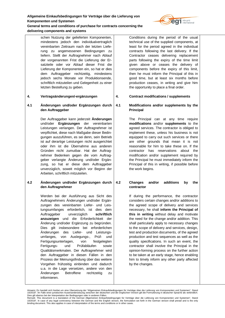

**delivering components and systems**

schen Nutzung der gelieferten Komponenten, mindestens jedoch den individualvertraglich vereinbarten Zeitraum nach der letzten Lieferung zu angemessenen Bedingungen zu liefern. Stellt der Auftragnehmer nach Ablauf der vorgenannten Frist die Lieferung der Ersatzteile oder vor Ablauf dieser Frist die Lieferung der Komponenten ein, so hat er dies dem Auftraggeber rechtzeitig, mindestens jedoch sechs Monate vor Produktionsende, schriftlich mitzuteilen und Gelegenheit zu einer letzten Bestellung zu geben.

# **4. Vertragsänderungen/-ergänzungen**

# **4.1 Änderungen und/oder Ergänzungen durch den Auftraggeber**

Der Auftraggeber kann jederzeit **Änderungen**  und/oder **Ergänzungen** der vereinbarten Leistungen verlangen. Der Auftragnehmer ist verpflichtet, diese nach Maßgabe dieser Bedingungen auszuführen, es sei denn, sein Betrieb ist auf derartige Leistungen nicht ausgerichtet oder ihm ist die Übernahme aus anderen Gründen nicht zumutbar. Hat der Auftragnehmer Bedenken gegen die vom Auftraggeber verlangte Änderung und/oder Ergänzung, so hat er diese dem Auftraggeber unverzüglich, soweit möglich vor Beginn der Arbeiten, schriftlich mitzuteilen.

## **4.2 Änderungen und/oder Ergänzungen durch den Auftragnehmer**

Werden bei der Ausführung aus Sicht des Auftragnehmers Änderungen und/oder Ergänzungen des vereinbarten Liefer- und Leistungsumfanges erforderlich, ist dies dem Auftraggeber unverzüglich **schriftlich anzuzeigen** und die Erforderlichkeit der Änderung und/oder Ergänzung zu begründen. Dies gilt insbesondere bei erforderlichen Änderungen des Liefer- und Leistungsumfanges, von Auslegungs-, Prüf- und Fertigungsunterlagen, von festgelegten Fertigungs- und Prüfabläufen sowie Qualitätsmerkmalen. Der Auftragnehmer wird den Auftraggeber in diesen Fällen in den Prozess der Meinungsfindung über das weitere Vorgehen frühzeitig einbinden und dadurch u.a. in die Lage versetzen, andere von den Änderungen Betroffene rechtzeitig zu informieren.

Conditions during the period of the usual technical use of the supplied components, at least for the period agreed in the individual contracts following the last delivery. If the Contractor ceases delivering replacement parts following the expiry of the time limit given above or ceases the delivery of components before the expiry of this limit, then he must inform the Principal of this in good time, but at least six months before production ceases, in writing and give him the opportunity to place a final order.

# **4. Contract modifications / supplements**

#### **4.1 Modifications and/or supplements by the Principal**

The Principal can at any time require **modifications** and/or **supplements** to the agreed services. The contractor is obliged to implement these, unless his business is not equipped to carry out such services or there are other grounds that mean it is not reasonable for him to take these on. If the contractor has reservations about the modification and/or supplement required by the Principal he must immediately inform the Principal of this in writing, if possible before the work begins.

# **4.2 Changes and/or additions by the contractor**

If during the performance, the contractor considers certain changes and/or additions to the agreed scope of delivery and services necessary, he shall **inform the Principal of this in writing** without delay and motivate the need for the change and/or addition. This shall particularly apply to necessary changes to the scope of delivery and services, design, test and production documents, of the agreed production and test sequences as well as the quality specifications. In such an event, the contractor shall involve the Principal in the opinion-forming process on the further action to be taken at an early stage, hence enabling him to timely inform any other party affected by the changes.

Hinweis: Es handelt sich hierbei um eine Übersetzung der "Allgemeinen Einkaufsbedingungen für Verträge über die Lieferung von Komponenten und Systemen", Stand 10/2018". Im Falle einer juristischen Auseinandersetzung zwischen der deutschen und der englischen Version gilt die Formulierung in deutscher Sprache als verbindlich.

Dies gilt ebenso bei der Interpretation der Bedingungen oder in anderen Fällen.<br>Remark: This document is a translation of the German Allgemeinen Einkaufsbedingungen für Verträge über die Lieferung von Komponenten und Syste 10/2018". In case of any legal controversy between the German and the English version, the formulation set forth in the German version shall prevail and is the only<br>binding document. This also applies in case of interpreta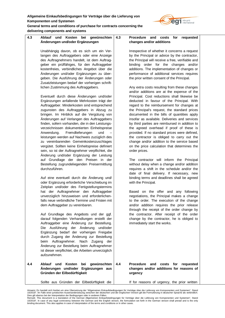

**General terms and conditions of purchase for contracts concerning the delivering components and systems**

#### **4.3 Ablauf und Kosten bei gewünschten Änderungen und/oder Ergänzungen** Unabhängig davon, ob es sich um ein Verlangen des Auftraggebers oder eine Anzeige des Auftragnehmers handelt, ist dem Auftraggeber ein prüffähiges, für den Auftraggeber kostenfreies, verbindliches Angebot über die Änderungen und/oder Ergänzungen zu übergeben. Die Ausführung der Änderungen oder Zusatzleistungen bedarf der vorherigen schriftlichen Zustimmung des Auftraggebers. Eventuell durch diese Änderungen und/oder Ergänzungen anfallende Mehrkosten trägt der Auftraggeber. Minderkosten sind entsprechend zugunsten des Auftraggebers in Abzug zu bringen. Im Hinblick auf die Vergütung von Änderungen auf Verlangen des Auftraggebers finden, sofern vorhanden, die in den Leistungsverzeichnissen dokumentierten Einheitspreise Anwendung. Fremdlieferungen und – leistungen werden auf Nachweis zuzüglich des zu vereinbarenden Gemeinkostenzuschlages vergütet. Sollten keine Einheitspreise definiert sein, so ist der Auftragnehmer verpflichtet, die Änderung und/oder Ergänzung der Leistung auf Grundlage der den Preisen in der Bestellung zugrundeliegenden Preisermittlung durchzuführen. Auf eine eventuell durch die Änderung und/ oder Ergänzung erforderliche Verschiebung im Zeitplan und/oder des Fertigstellungstermins hat der Auftragnehmer den Auftraggeber unverzüglich hinzuweisen und erforderlichenfalls neue verbindliche Termine und Fristen mit dem Auftraggeber zu vereinbaren. Auf Grundlage des Angebots und der ggf. darauf folgenden Verhandlungen erstellt der Auftraggeber eine Änderung zur Bestellung. Die Ausführung der Änderung und/oder Ergänzung bedarf der vorherigen Freigabe durch Zugang der Änderung zur Bestellung beim Auftragnehmer. Nach Zugang der Änderung zur Bestellung beim Auftragnehmer ist dieser verpflichtet, die Arbeiten unverzüglich aufzunehmen. **4.4 Ablauf und Kosten bei gewünschten Änderungen und/oder Ergänzungen aus Gründen der Eilbedürftigkeit** Sollte aus Gründen der Eilbedürftigkeit die **4.3 Procedure and costs for requested changes and/or additions** Irrespective of whether it concerns a request by the Principal or advice by the contractor, the Principal will receive a free, verifiable and binding order for the changes and/or additions. The implementation of changes or performance of additional services requires the prior written consent of the Principal. Any extra costs resulting from these changes and/or additions are at the expense of the Principal. Cost reductions shall likewise be deducted in favour of the Principal. With regard to the reimbursement for changes at the Principal's request, the standard prices documented in the bills of quantities apply insofar as available. Deliveries and services by third parties are reimbursed in addition to the agreed overhead if proof of these is provided. If no standard prices were defined, the contractor is obliged to carry out the change and/or addition to the service based on the price calculation that determines the order prices. The contractor will inform the Principal without delay when a change and/or addition requires a shift in the schedule and/or the date of final delivery. If necessary, new binding terms and deadlines shall be agreed with the Principal. Based on the offer and any following negotiations, the Principal makes a change to the order. The execution of the change and/or addition requires the prior release through the receipt of the order change by the contractor. After receipt of the order change by the contractor, he is obliged to immediately start the works. **4.4 Procedure and costs for requested changes and/or additions for reasons of urgency** If for reasons of urgency, the prior written

Hinweis: Es handelt sich hierbei um eine Übersetzung der "Allgemeinen Einkaufsbedingungen für Verträge über die Lieferung von Komponenten und Systemen", Stand 10/2018". Im Falle einer juristischen Auseinandersetzung zwischen der deutschen und der englischen Version gilt die Formulierung in deutscher Sprache als verbindlich.

Dies gilt ebenso bei der Interpretation der Bedingungen oder in anderen Fällen.<br>Remark: This document is a translation of the German Allgemeinen Einkaufsbedingungen für Verträge über die Lieferung von Komponenten und Syste 10/2018". In case of any legal controversy between the German and the English version, the formulation set forth in the German version shall prevail and is the only<br>binding document. This also applies in case of interpreta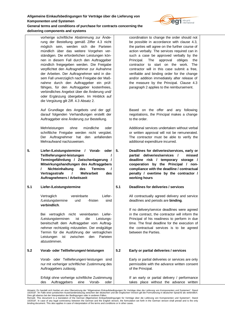

vorherige schriftliche Abstimmung zur Änderung der Bestellung gemäß Ziffer 4.3 nicht möglich sein, werden sich die Parteien mündlich über das weitere Vorgehen verständigen. Die erforderlichen Leistungen können in diesem Fall durch den Auftraggeber mündlich freigegeben werden. Die Freigabe verpflichtet den Auftragnehmer zur Aufnahme der Arbeiten. Der Auftragnehmer wird in diesem Fall unverzüglich nach Freigabe der Maßnahme durch den Auftraggeber ein prüffähiges, für den Auftraggeber kostenfreies, verbindliches Angebot über die Änderung und/ oder Ergänzung übergeben. Im Hinblick auf die Vergütung gilt Ziff. 4.3 Absatz 2.

**delivering components and systems**

Auf Grundlage des Angebots und der ggf. darauf folgenden Verhandlungen erstellt der Auftraggeber eine Änderung zur Bestellung.

Mehrleistungen ohne mündliche oder schriftliche Freigabe werden nicht vergütet. Der Auftragnehmer hat den anfallenden Mehraufwand nachzuweisen.

**5. Liefer-/Leistungstermine / Vorab- oder Teillieferungen/-leistungen / Termingefährdung / Zwischenlagerung / Mitwirkungshandlungen des Auftraggebers / Nichteinhaltung des Termins / Vertragsstrafe / Mehrarbeit des Auftragnehmers / Arbeitszeit**

# **5.1 Liefer-/Leistungstermine**

Vertraglich vereinbarte Liefer- /Leistungstermine und -fristen sind **verbindlich**.

Bei vertraglich nicht vereinbarten Liefer- /Leistungsterminen ist die Leistungsbereitschaft dem Auftraggeber vom Auftragnehmer rechtzeitig mitzuteilen. Der endgültige Termin für die Ausführung der vertraglichen Leistungen ist zwischen den Parteien abzustimmen.

# **5.2 Vorab- oder Teillieferungen/-leistungen**

Vorab- oder Teillieferungen/-leistungen sind nur mit vorheriger schriftlicher Zustimmung des Auftraggebers zulässig.

Erfolgt ohne vorherige schriftliche Zustimmung des Auftraggebers eine Vorab- oder coordination to change the order should not be possible in accordance with clause 4.3, the parties will agree on the further course of action verbally. The services required can in such a case be approved verbally by the Principal. The approval obliges the contractor to start on the work. The contractor will in this case submit a free, verifiable and binding order for the change and/or addition immediately after release of the measure by the Principal. Clause 4.3 paragraph 2 applies to the reimbursement.

Based on the offer and any following negotiations, the Principal makes a change to the order.

Additional services undertaken without verbal or written approval will not be remunerated. The contractor must be able to verify the additional expenditure incurred.

**5. Deadlines for deliveries/services, early or partial deliveries/services / missed deadline risk / temporary storage / cooperation by the Principal / noncompliance with the deadline / contractual penalty / overtime by the contractor / working hours**

# **5.1 Deadlines for deliveries / services**

All contractually agreed delivery and service deadlines and periods are **binding**.

If no delivery/service deadlines were agreed in the contract, the contractor will inform the Principal of his readiness to perform in due time. The final deadline for the execution of the contractual services is to be agreed between the Parties.

# **5.2 Early or partial deliveries / services**

Early or partial deliveries or services are only permissible with the advance written consent of the Principal.

If an early or partial delivery / performance takes place without the advance written

Dies gilt ebenso bei der Interpretation der Bedingungen oder in anderen Fällen.<br>Remark: This document is a translation of the German Allgemeinen Einkaufsbedingungen für Verträge über die Lieferung von Komponenten und Syste 10/2018". In case of any legal controversy between the German and the English version, the formulation set forth in the German version shall prevail and is the only<br>binding document. This also applies in case of interpreta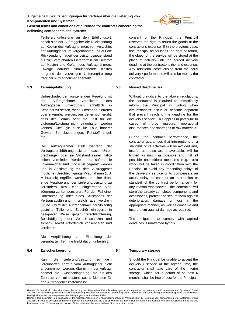

**General terms and conditions of purchase for contracts concerning the delivering components and systems**

> Teillieferung/-leistung an den Erfüllungsort, behält sich der Auftraggeber die Rücksendung auf Kosten des Auftragnehmers vor. Verzichtet der Auftraggeber im vorgenannten Fall auf die Rücksendung, lagert der Leistungsgegenstand bis zum vereinbarten Liefertermin am Lieferort auf Kosten und Gefahr des Auftragnehmers. Etwaige darüber hinausgehende Kosten aufgrund der vorzeitigen Lieferung/Leistung trägt der Auftragnehmer ebenfalls.

## **5.3 Termingefährdung**

Unbeschadet der vorstehenden Regelung ist der Auftragnehmer verpflichtet, den Auftraggeber unverzüglich schriftlich in Kenntnis zu setzen, wenn Umstände eintreten oder erkennbar werden, aus denen sich ergibt, dass der Termin oder die Frist für die Lieferung/Leistung nicht eingehalten werden können. Dies gilt auch für Fälle höherer Gewalt, Betriebsstörungen, Rohstoffmangel, etc.

Der Auftragnehmer stellt während der Vertragsdurchführung sicher, dass Unterbrechungen oder ein Stillstand seiner Tätigkeiten vermieden werden und, sofern sie unvermeidbar sind, möglichst begrenzt werden und in Abstimmung mit dem Auftraggeber mögliche (Beschleunigungs-)Maßnahmen (z.B. Mehrarbeit) ergriffen werden, um eine drohende Verzögerung der Lieferung/Leistung zu verhindern bzw. eine eingetretene Verzögerung zu kompensieren. Für den Fall einer Unterbrechung oder eines Stillstandes der Vertragsausführung - gleich aus welchem Grund - wird der Auftragnehmer bereits fertig gestellte Teile und Zubehör einlagern, in geeigneter Weise gegen Verschlechterung, Beschädigung oder Verlust schützen und sichern, soweit erforderlich konservieren und versichern.

Die Verpflichtung zur Einhaltung der vereinbarten Termine bleibt davon unberührt.

# **5.4 Zwischenlagerung**

Kann die Lieferung/Leistung zu dem vereinbarten Termin vom Auftraggeber nicht angenommen werden, übernimmt der Auftragnehmer die Zwischenlagerung, die für den Zeitraum von mindestens sechs Monaten für den Auftraggeber kostenlos ist.

consent of the Principal, the Principal reserves the right to return the goods at the contractor's expense. If in the previous case, the Principal relinquishes the right of return, the object of the service will be stored at the place of delivery until the agreed delivery deadline at the contractor's risk and expense. Any additional costs arising from the early delivery / performance will also be met by the contractor.

## **5.3 Missed deadline risk**

Without prejudice to the above regulations, the contractor is required to immediately inform the Principal in writing when circumstances occur or become apparent that prevent reaching the deadline for the delivery / service. This applies in particular to cases of force majeure, operational disturbances and shortages of raw materials.

During the contract performance, the contractor guarantees that interruptions or a standstill of its activities will be avoided and, insofar as these are unavoidable, will be limited as much as possible and that all possible (expedition) measures (e.g. extra work) will be taken in coordination with the Principal to avoid any impending delays of the delivery / service or to compensate an actual delay. In case of an interruption or standstill of the contract performance - for any reason whatsoever - the contractor will store the already completed components and accessories, protect and secure them against deterioration, damage or loss in the appropriate manner, as well as conserve and insure them against damage as required.

The obligation to comply with agreed deadlines is unaffected by this.

# **5.4 Temporary storage**

Should the Principal be unable to accept the delivery / service at the agreed time, the contractor shall take care of the interim storage, which, for a period of at least 6 months, shall be free of cost for the Principal.

Hinweis: Es handelt sich hierbei um eine Übersetzung der "Allgemeinen Einkaufsbedingungen für Verträge über die Lieferung von Komponenten und Systemen", Stand 10/2018". Im Falle einer juristischen Auseinandersetzung zwischen der deutschen und der englischen Version gilt die Formulierung in deutscher Sprache als verbindlich.

Dies gilt ebenso bei der Interpretation der Bedingungen oder in anderen Fällen.<br>Remark: This document is a translation of the German Allgemeinen Einkaufsbedingungen für Verträge über die Lieferung von Komponenten und Syste 10/2018". In case of any legal controversy between the German and the English version, the formulation set forth in the German version shall prevail and is the only<br>binding document. This also applies in case of interpreta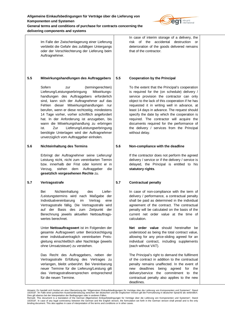

**delivering components and systems**

Im Falle der Zwischenlagerung einer Lieferung verbleibt die Gefahr des zufälligen Untergangs oder der Verschlechterung der Lieferung beim Auftragnehmer. **5.5 Mitwirkungshandlungen des Auftraggebers** Sofern zur (termingerechten) Lieferung/Leistungserbringung Mitwirkungshandlungen des Auftraggebers erforderlich sind, kann sich der Auftragnehmer auf das Fehlen dieser Mitwirkungshandlungen nur berufen, wenn er diese rechtzeitig, mindestens 14 Tage vorher, vorher schriftlich angefordert hat. In der Anforderung ist anzugeben, bis wann die Mitwirkungshandlung zu erbringen ist. Zur Lieferung/Leistungserbringung benötigte Unterlagen wird der Auftragnehmer unverzüglich vom Auftraggeber einholen. **5.6 Nichteinhaltung des Termins** Erbringt der Auftragnehmer seine Lieferung/ Leistung nicht, nicht zum vereinbarten Termin bzw. innerhalb der Frist oder kommt er in Verzug, stehen dem Auftraggeber die **gesetzlich vorgesehenen Rechte** zu. **5.7 Vertragsstrafe** Bei Nichteinhaltung des Liefer- /Leistungstermins wird nach Maßgabe der Individualvereinbarung im Vertrag eine Vertragsstrafe fällig. Die Vertragsstrafe wird auf der Basis des zum Zeitpunkt der Berechnung jeweils aktuellen Nettoauftragswertes berechnet. Unter **Nettoauftragswert** ist im Folgenden der gesamte Auftragswert unter Berücksichtigung einer individualvertraglich vereinbarten Preisgleitung einschließlich aller Nachträge (jeweils ohne Umsatzsteuer) zu verstehen. Das Recht des Auftraggebers, neben der Vertragsstrafe Erfüllung des Vertrages zu verlangen, bleibt unberührt. Bei Vereinbarung neuer Termine für die Lieferung/Leistung gilt das Vertragsstrafeversprechen entsprechend für die neuen Termine. In case of interim storage of a delivery, the risk of the accidental destruction or deterioration of the goods delivered remains that of the contractor. **5.5 Cooperation by the Principal** To the extent that the Principal's cooperation is required for the (on schedule) delivery / service provision the contractor can only object to the lack of this cooperation if he has requested it in writing well in advance, at least 14 days in advance. The request should specify the date by which the cooperation is required. The contractor will acquire the documents required for the performance of the delivery / services from the Principal without delay. **5.6 Non-compliance with the deadline** If the contractor does not perform the agreed delivery / service or if the delivery / service is delayed, the Principal is entitled to his **statutory rights**. **5.7 Contractual penalty** In case of non-compliance with the term of delivery / performance, a contractual penalty shall be paid as determined in the individual agreement of the contract. The contractual penalty will be calculated on the basis of the current net order value at the time of calculation. **Net order value** should hereinafter be understood as being the total contract value, allowing for any price-sliding agreed for an individual contract, including supplements (each without VAT). The Principal's right to demand the fulfilment of the contract in addition to the contractual penalty remains unaffected. In the event of new deadlines being agreed for the delivery/service the commitment to the contractual penalty also applies to the new

deadlines.

Hinweis: Es handelt sich hierbei um eine Übersetzung der "Allgemeinen Einkaufsbedingungen für Verträge über die Lieferung von Komponenten und Systemen", Stand 10/2018". Im Falle einer juristischen Auseinandersetzung zwischen der deutschen und der englischen Version gilt die Formulierung in deutscher Sprache als verbindlich.

Dies gilt ebenso bei der Interpretation der Bedingungen oder in anderen Fällen.<br>Remark: This document is a translation of the German Allgemeinen Einkaufsbedingungen für Verträge über die Lieferung von Komponenten und Syste 10/2018". In case of any legal controversy between the German and the English version, the formulation set forth in the German version shall prevail and is the only<br>binding document. This also applies in case of interpreta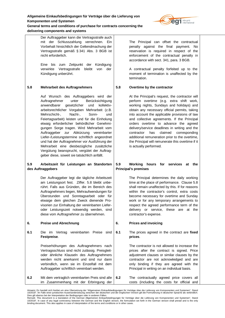Der Auftraggeber kann die Vertragsstrafe auch

**delivering components and systems**



mit der Schlusszahlung verrechnen. Ein Vorbehalt hinsichtlich der Geltendmachung der Vertragsstrafe gemäß § 341 Abs. 3 BGB ist nicht erforderlich. Eine bis zum Zeitpunkt der Kündigung verwirkte Vertragsstrafe bleibt von der Kündigung unberührt. **5.8 Mehrarbeit des Auftragnehmers** Auf Wunsch des Auftraggebers wird der Auftragnehmer unter Berücksichtigung anwendbarer gesetzlicher und kollektivarbeitsrechtlicher Vorgaben Mehrarbeit (z.B. Mehrschicht-, Nacht-, Sonn- und Feiertagsarbeit) leisten und für die Einholung etwaig erforderlicher behördlicher Genehmigungen Sorge tragen. Wird Mehrarbeit vom Auftraggeber zur Abkürzung vereinbarter Liefer-/Leistungstermine schriftlich angeordnet und hat der Auftragnehmer vor Ausführung der Mehrarbeit eine diesbezügliche zusätzliche Vergütung beansprucht, vergütet der Auftraggeber diese, soweit sie tatsächlich anfällt. **5.9 Arbeitszeit für Leistungen an Standorten des Auftraggebers** Der Auftraggeber legt die tägliche Arbeitszeit am Leistungsort fest. Ziffer. 5.8 bleibt unberührt. Falls aus Gründen, die im Bereich des Auftragnehmers liegen, Mehraufwendungen für Überstunden und Sonntagsarbeit oder für etwaige dem gleichen Zweck dienende Provisorien zur Einhaltung der vereinbarten Lieferoder Leistungszeit notwendig werden, sind diese vom Auftragnehmer zu übernehmen. **6. Preise und Abrechnung 6.1** Die im Vertrag vereinbarten Preise sind **Festpreise**. Preiserhöhungen des Auftragnehmers nach Vertragsschluss sind nicht zulässig. Preisgleitoder ähnliche Klauseln des Auftragnehmers werden nicht anerkannt und sind nur dann verbindlich, wenn sie im Einzelfall mit dem Auftraggeber schriftlich vereinbart werden. **6.2** Mit dem vertraglich vereinbarten Preis sind alle im Zusammenhang mit der Erbringung der The Principal can offset the contractual penalty against the final payment. No reservation is required in respect of the enforcement of the contractual penalty in accordance with sect. 341, para. 3 BGB. A contractual penalty forfeited up to the moment of termination is unaffected by the termination. **5.8 Overtime by the contractor** At the Principal's request, the contractor will perform overtime (e.g. extra shift work, working nights, Sundays and holidays) and obtain any necessary official permits, taking into account the applicable provisions of law and collective agreements. If the Principal orders overtime to advance the agreed delivery/service deadlines in writing and the contractor has claimed corresponding additional remuneration prior to the overtime, the Principal will remunerate this overtime if it is actually performed. **5.9 Working hours for services at the Principal's premises** The Principal determines the daily working time at the place of performance. Clause 5.8 shall remain unaffected by this. If for reasons within the contractor's control, extra costs become necessary for overtime and Sunday work or for any temporary arrangements to respect the agreed performance term of the delivery or service, these are at the contractor's expense. **6. Prices and invoicing 6.1** The prices agreed in the contract are **fixed prices**. The contractor is not allowed to increase the prices after the contract is signed. Price adjustment clauses or similar clauses by the contractor are not acknowledged and are only binding if they are agreed with the Principal in writing on an individual basis. **6.2** The contractually agreed price covers all costs (including the costs for official and

Dies gilt ebenso bei der Interpretation der Bedingungen oder in anderen Fällen.<br>Remark: This document is a translation of the German Allgemeinen Einkaufsbedingungen für Verträge über die Lieferung von Komponenten und Syste 10/2018". In case of any legal controversy between the German and the English version, the formulation set forth in the German version shall prevail and is the only<br>binding document. This also applies in case of interpreta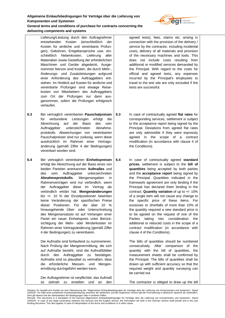

**delivering components and systems**

Lieferung/Leistung durch den Auftragnehmer entstehenden Kosten (einschließlich der Kosten für amtliche und vereinbarte Prüfungen), Gebühren, Entgeltansprüche usw. einschließlich Nebenkosten, Lieferung aller Materialien sowie Gestellung der erforderlichen Maschinen und Geräte abgedeckt. Ausgenommen hiervon sind Kosten, die durch Mehr-, Änderungs- und Zusatzleistungen aufgrund einer Anforderung des Auftraggebers entstehen. Im Hinblick auf Kosten für amtliche und vereinbarte Prüfungen sind etwaige Reisekosten von Mitarbeitern des Auftraggebers zum Ort der Prüfungen nur dann ausgenommen, sofern die Prüfungen erfolgreich verlaufen.

- **6.3** Bei vertraglich vereinbarten **Pauschalpreisen** für verbundene Leistungen erfolgt die Abrechnung auf der Basis des vom Auftraggeber unterzeichneten Abnahmeprotokolls. Abweichungen von vereinbarten Pauschalpreisen sind nur zulässig, wenn diese ausdrücklich im Rahmen einer Vertragsänderung (gemäß Ziffer 4 der Bedingungen) vereinbart worden sind.
- **6.4** Bei vertraglich vereinbarten **Einheitspreisen** erfolgt die Abrechnung auf der Basis eines von beiden Parteien anerkannten **Aufmaßes** und des vom Auftraggeber unterzeichneten **Abnahmeprotokolls**. Mengenangaben in Rahmenverträgen sind nur verbindlich, wenn der Auftraggeber diese im Vertrag als verbindlich erklärt hat. **Mengenänderungen** bis +/- 10 % der Einzelpositionen bewirken keine Veränderung der spezifischen Preise dieser Positionen. Für die über 10 % hinausgehende Über- oder Unterschreitung des Mengenansatzes ist auf Verlangen einer Partei ein neuer Einheitspreis unter Berücksichtigung der Mehr- oder Minderkosten im Rahmen einer Vertragsänderung (gemäß Ziffer 4 der Bedingungen) zu vereinbaren.

Die Aufmaße sind fortlaufend zu nummerieren. Nach Prüfung der Mengenermittlung, die sich auf Aufmaße bezieht, sind die Aufmaßblätter durch den Auftraggeber zu bestätigen. Aufmaße sind so plausibel zu vermaßen, dass die erforderliche Massen- und Mengenermittlung durchgeführt werden kann.

Der Auftragnehmer ist verpflichtet, das Aufmaß so zeitnah zu erstellen und an den agreed tests), fees, claims etc. arising in connection with the provision of the delivery / service by the contractor, including incidental costs, delivery of all materials and provision of the necessary machines and tools. This does not include costs resulting from additional or modified services demanded by the Principal. With regard to the costs for official and agreed tests, any expenses incurred by the Principal's employees to travel to the test site are only excluded if the tests are successful.

**6.3** In case of contractually agreed **flat rates** for corresponding services, settlement is subject to the acceptance report being signed by the Principal. Deviations from agreed flat rates are only admissible if they were expressly agreed in the scope of a contract modification (in accordance with clause 4 of the Conditions).

**6.4** In case of contractually agreed **standard prices**, settlement is subject to the **bill of quantities** being accepted by both parties and the **acceptance report** being signed by the Principal. Quantities indicated in the framework agreement are only binding if the Principal has declared them binding in the contract. **Quantity variation** of up to +/- 10% of a single item will not cause any change to the specific price of these items. For excesses or shortfalls of more than 10% of the quantity required a new standard price is to be agreed on the request of one of the Parties taking into consideration the additional or reduced costs in the scope of a contract modification (in accordance with clause 4 of the Conditions).

> The bills of quantities should be numbered consecutively. After comparison of the quantity with the bill of quantities, the measurement sheets shall be confirmed by the Principal. The bills of quantities shall be drawn up with sufficient accuracy so that the required weight and quantity surveying can be carried out.

The contractor is obliged to draw up the bill

Hinweis: Es handelt sich hierbei um eine Übersetzung der "Allgemeinen Einkaufsbedingungen für Verträge über die Lieferung von Komponenten und Systemen", Stand 10/2018". Im Falle einer juristischen Auseinandersetzung zwischen der deutschen und der englischen Version gilt die Formulierung in deutscher Sprache als verbindlich.

Dies gilt ebenso bei der Interpretation der Bedingungen oder in anderen Fällen.<br>Remark: This document is a translation of the German Allgemeinen Einkaufsbedingungen für Verträge über die Lieferung von Komponenten und Syste 10/2018". In case of any legal controversy between the German and the English version, the formulation set forth in the German version shall prevail and is the only<br>binding document. This also applies in case of interpreta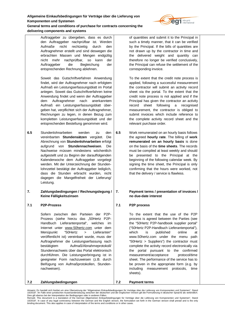

**delivering components and systems** Auftraggeber zu übergeben, dass es durch

den Auftraggeber nachprüfbar ist. Werden Aufmaße nicht rechtzeitig durch den Auftragnehmer erstellt und sind deswegen die erbrachten Massen und Mengen endgültig nicht mehr nachprüfbar, so kann der Auftraggeber die Begleichung der entsprechenden Rechnung ablehnen.

Soweit das Gutschriftverfahren Anwendung findet, wird der Auftragnehmer nach erfolgtem Aufmaß ein Leistungserfassungsblatt im Portal anlegen. Soweit das Gutschriftverfahren keine Anwendung findet und wenn der Auftraggeber dem Auftragnehmer nach anerkanntem Aufmaß ein Leistungserfassungsblatt übergeben hat, verpflichtet sich der Auftragnehmer, Rechnungen zu legen, in denen Bezug zum kompletten Leistungserfassungsblatt und der entsprechenden Bestellung genommen wird.

**6.5** Stundenlohnarbeiten werden zu den vereinbarten **Stundensätzen** vergütet. Die Abrechnung von **Stundenlohnarbeiten** erfolgt aufgrund von **Stundennachweisen**. Die Nachweise müssen mindestens wöchentlich aufgestellt und zu Beginn der darauffolgenden Kalenderwoche dem Auftraggeber vorgelegt werden. Mit der Unterzeichnung der Stundenlohnzettel bestätigt der Auftraggeber lediglich, dass die Stunden erbracht wurden, nicht dagegen die Mangelfreiheit der Lieferung/ Leistung.

## **7. Zahlungsbedingungen / Rechnungslegung / Keine Fälligkeitszinsen**

# **7.1 P2P-Prozess**

**7.2 Zahlungsbedingungen**

Sofern zwischen den Parteien der P2P-Prozess (siehe hierzu das "50Hertz P2P-Handbuch Lieferantenportal", welches im Internet unter [www.50hertz.com](http://www.50hertz.com) unter dem Menüpunkt "50Hertz > Lieferanten" veröffentlicht ist) vereinbart wurde, muss der Auftragnehmer die Leistungserfassung nach bestätigtem Aufmaß/Abnahmeprotokoll/ Stundennachweis über das Portal elektronisch durchführen. Die Leistungserbringung ist in geeigneter Form nachzuweisen (z.B. durch Beifügung von Aufmaßprotokollen, Stundennachweisen).

of quantities and submit it to the Principal in such a timely manner, that it can be verified by the Principal. If the bills of quantities are not drawn up by the contractor in time and the delivered weight and quantity can therefore no longer be verified conclusively, the Principal can refuse the settlement of the corresponding invoice.

To the extent that the credit note process is applied, following a successful measurement the contractor will submit an activity record sheet via the portal. To the extent that the credit note process is not applied and if the Principal has given the contractor an activity record sheet following a recognised measurement, the contractor is obliged to submit invoices which include reference to the complete activity record sheet and the relevant purchase order.

**6.5** Work remunerated on an hourly basis follows the agreed **hourly rate**. The billing of **work remunerated on an hourly basis** is done on the basis of the **time sheets**. The records must be compiled at least weekly and should be presented to the Principal at the beginning of the following calendar week. By signing the time sheet, the Principal is only confirming that the hours were worked, not that the delivery / service is flawless.

# **7. Payment terms / presentation of invoices / no due-date interest**

# **7.1 P2P process**

**7.2 Payment terms**

To the extent that the use of the P2P process is agreed between the Parties (see the "50Hertz P2P-handbook supplier portal" ("50Hertz P2P-Handbuch Lieferantenportal"), which is published online at [www.50hertz.com](http://www.50hertz.com) under the menu path "50Hertz > Suppliers") the contractor must complete the activity record electronically via the portal pursuant to the confirmed measurement/acceptance protocol/time sheet. The performance of the service has to be proven in the appropriate form (e.g. by including measurement protocols, time sheets).

Dies gilt ebenso bei der Interpretation der Bedingungen oder in anderen Fällen.<br>Remark: This document is a translation of the German Allgemeinen Einkaufsbedingungen für Verträge über die Lieferung von Komponenten und Syste 10/2018". In case of any legal controversy between the German and the English version, the formulation set forth in the German version shall prevail and is the only<br>binding document. This also applies in case of interpreta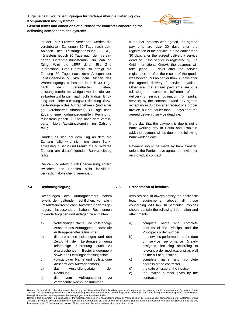Ist der P2P Prozess vereinbart werden die vereinbarten Zahlungen 30 Tage nach dem Anlegen der Leistungserfassung (LERF), frühestens jedoch 30 Tage nach dem vereinbarten Liefer-/Leistungstermin, zur Zahlung **fällig.** Wird die LERF durch Elia Grid International GmbH erstellt, so erfolgt die Zahlung 30 Tage nach dem Anlegen der Leistungserfassung bzw. dem Buchen des Wareneingangs, frühestens je-doch 30 Tage nach dem vereinbarten Liefer-/ Leistungstermin. Im Übrigen werden die vereinbarten Zahlungen nach vollständiger Erfüllung der Liefer-/Leistungsverpflichtung (bzw. Teilleistungen) des Auftragnehmers (und einer ggf. vereinbarten Abnahme) 30 Tage nach Zugang einer ordnungsgemäßen Rechnung, frühestens jedoch 30 Tage nach dem vereinbarten Liefer-/Leistungstermin, zur Zahlung **fällig**.

Handelt es sich bei dem Tag an dem die Zahlung fällig wird nicht um einen Bankarbeitstag in Berlin und Frankfurt a.M. wird die Zahlung am darauffolgenden Bankarbeitstag fällig.

Die Zahlung erfolgt durch Überweisung, sofern zwischen den Parteien nicht individualvertraglich abweichend vereinbart.

# **7.3 Rechnungslegung**

Rechnungen des Auftragnehmers haben jeweils den geltenden rechtlichen, vor allem umsatzsteuerrechtlichen Anforderungen zu genügen. Insbesondere haben Rechnungen folgende Angaben und Anlagen zu enthalten:

- a) Vollständiger Name und vollständige Anschrift des Auftraggebers sowie die Auftraggeber-Bestellnummer,
- b) die erbrachten Leistungen und den Zeitpunkt der Leistungserbringung (eindeutige Zuordnung auch zu entsprechenden Bestelländerungen) sowie das Leistungserfassungsblatt,
- c) vollständiger Name und vollständige Anschrift des Auftragnehmers, d) das Ausstellungsdatum der Rechnung, e) die vom Auftragnehmer zu

vergebende Rechnungsnummer,

If the P2P process was agreed, the agreed payments are **due** 30 days after the registration of the service, but no earlier than 30 days after the agreed delivery / service deadline. If the service is registered by Elia Grid International GmbH, the payment will take place 30 days after the service registration or after the receipt of the goods was booked, but no earlier than 30 days after the agreed delivery / service deadline. Otherwise, the agreed payments are **due** following the complete fulfilment of the delivery / service obligation (or partial service) by the contractor (and any agreed acceptance) 30 days after receipt of a proper invoice, but not earlier than 30 days after the agreed delivery / service deadline.

If the day that the payment is due is not a bank working day in Berlin and Frankfurt a.M. the payment will be due on the following bank working day.

Payment should be made by bank transfer, unless the Parties have agreed otherwise for an individual contract.

# **7.3 Presentation of invoices**

Invoices should always satisfy the applicable legal requirements, above all those concerning VAT law. In particular, invoices should contain the following information and attachments:

- a) complete name and complete address of the Principal and the Principal's order number,
- b) the services performed and the date of service performance (clearly assigned, including according to relevant order modifications) as well as the bill of quantities,
- c) complete name and complete address of the contractor,
- d) the date of issue of the invoice,
- e) the invoice number given by the contractor,



Dies gilt ebenso bei der Interpretation der Bedingungen oder in anderen Fällen.<br>Remark: This document is a translation of the German Allgemeinen Einkaufsbedingungen für Verträge über die Lieferung von Komponenten und Syste 10/2018". In case of any legal controversy between the German and the English version, the formulation set forth in the German version shall prevail and is the only<br>binding document. This also applies in case of interpreta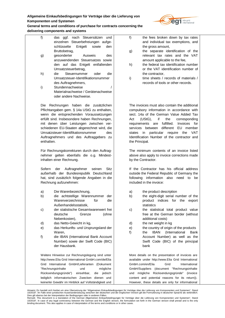

**General terms and conditions of purchase for contracts concerning the delivering components and systems**

| f)         | ggf. nach Steuersätzen<br>das<br>und                 | f  |
|------------|------------------------------------------------------|----|
|            | einzelnen Steuerbefreiungen aufge-                   |    |
|            | schlüsselte<br>Entgelt<br>sowie<br>den               |    |
|            | Bruttobetrag,<br>Ausweis                             | ç  |
| g)         | gesonderter<br>des                                   |    |
|            | anzuwendenden Steuersatzes sowie                     |    |
|            | auf das Entgelt entfallenden<br>den                  | h  |
|            | Umsatzsteuerbetrag,                                  |    |
| h)         | die<br>Steuernummer<br>oder<br>die                   |    |
|            | Umsatzsteuer-Identifikationsnummer                   | i) |
|            | des Auftragnehmers,                                  |    |
| i)         | Stundennachweise<br>$\prime$                         |    |
|            | Materialnachweise / Gerätenachweise                  |    |
|            | oder andere Nachweise.                               |    |
| Die:       | Rechnungen haben die zusätzlichen                    | ٦  |
|            | Pflichtangaben gem. § 14a UStG zu enthalten,         | c  |
|            | wenn die entsprechenden Voraussetzungen              | s  |
|            | erfüllt sind. Insbesondere haben Rechnungen,         | A  |
|            | mit denen über Leistungen zwischen ver-              | r  |
|            | schiedenen EU-Staaten abgerechnet wird, die          | s  |
|            | Umsatzsteuer-Identifikationsnummer<br>des            | S  |
|            | Auftragnehmers und des Auftraggebers zu              | k  |
| enthalten. |                                                      | tl |
|            |                                                      |    |
|            | Für Rechnungskorrekturen durch den Auftrag-          | J  |
|            | nehmer gelten ebenfalls die o.g. Mindest-            | г  |
|            | inhalten einer Rechnung.                             | b  |
|            |                                                      |    |
| Sofern     | der Auftragnehmer seinen<br>Sitz                     | ľ  |
|            | außerhalb der Bundesrepublik Deutschland             | c  |
|            | hat, sind zusätzlich folgende Angaben in die         | f  |
|            | Rechnung aufzunehmen:                                | ÌI |
|            |                                                      |    |
| a)         | Die Warenbezeichnung,                                | г  |
| b)         | die achtstellige Warennummer<br>der                  | b  |
|            | Warenverzeichnisse<br>die<br>für                     |    |
|            | Außenhandelsstatistik,                               |    |
| c)         | der statistische Gesamtwarenwert frei                | c  |
|            | deutsche<br>Grenze<br>(ohne                          |    |
|            | Nebenkosten),                                        |    |
| d)         | das Netto-Gewicht in kg,                             | c  |
| e)         | das Herkunfts- und Ursprungsland der                 | е  |
|            | Waren,                                               | f  |
| f)         | die IBAN (International Bank Account                 |    |
|            | Number) sowie der Swift Code (BIC)                   |    |
|            | der Hausbank.                                        |    |
|            | Weitere Hinweise zur Rechnungslegung sind unter      | Λ  |
|            | http://www.Elia Grid International GmbH.com/de/Elia  | a  |
| Grid       | International GmbH/Lieferanten<br>(Dokument          | G  |
|            | "Rechnungsinhalte<br>mögliche<br>und                 | C  |
|            | Rücksendungsgründe")<br>einsehbar,<br>die<br>jedoch  | u  |
| lediglich  | informatorischen Zwecken<br>dienen<br>und            | с  |
|            | keinerlei Gewähr im Hinblick auf Vollständigkeit und | ۲  |
|            |                                                      |    |

- the fees broken down by tax rates and individual tax exemptions, and the gross amount,
- g) the separate identification of the relevant tax rates and the VAT amount applicable to the fee,
- h) the federal tax identification number or the VAT identification number of the contractor
- time sheets / records of materials / records of tools or other records.

The invoices must also contain the additional compulsory information in accordance with sect. 14a of the German Value Added Tax Act (UStG), if the corresponding requirements are fulfilled. Invoices for services between different EU member states in particular require the VAT dentification Number of the contractor and he Principal.

The minimum contents of an invoice listed above also apply to invoice corrections made by the Contractor.

f the Contractor has his official address outside the Federal Republic of Germany the following information also need to be ncluded in the invoice:

- a) the product description
- b) the eight-digit serial number of the product indices for the export statistics
- c) the statistical total product value free at the German border (without additional costs)
- d) the net weight in kg
- e) the country of origin of the products
- the IBAN (International Bank Account Number) as well as the Swift Code (BIC) of the principal bank

More details on the presentation of invoices are available under <http://www.Elia>Grid International GmbH.com/en/Elia Grid International GmbH/Suppliers (document "Rechnungsinhalte und mögliche Rücksendungsgründe" (invoice content and potential reasons for its return)). However, these details are only for informational

Dies gilt ebenso bei der Interpretation der Bedingungen oder in anderen Fällen.<br>Remark: This document is a translation of the German Allgemeinen Einkaufsbedingungen für Verträge über die Lieferung von Komponenten und Syste 10/2018". In case of any legal controversy between the German and the English version, the formulation set forth in the German version shall prevail and is the only<br>binding document. This also applies in case of interpreta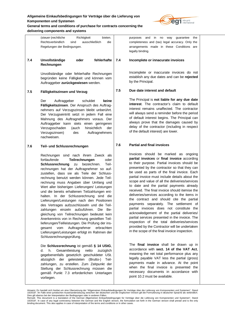

**General terms and conditions of purchase for contracts concerning the delivering components and systems**

|     | bieten.<br>(steuer-)rechtliche<br>Richtigkeit<br>Rechtsverbindlich<br>sind<br>ausschließlich<br>die<br>Regelungen der Bedingungen.                                                                                                                                                                                                                                                                                                                                                                                                                                                                                                                                                                                                                                                                                                                                               |     | in<br>purposes<br>and<br>no<br>way<br>quarantee<br>the<br>completeness and (tax) legal accuracy. Only the<br>arrangements made in these Conditions are<br>legally binding.                                                                                                                                                                                                                                                                                                                                                                                                                                                                                                                                                                                                                                                                                               |
|-----|----------------------------------------------------------------------------------------------------------------------------------------------------------------------------------------------------------------------------------------------------------------------------------------------------------------------------------------------------------------------------------------------------------------------------------------------------------------------------------------------------------------------------------------------------------------------------------------------------------------------------------------------------------------------------------------------------------------------------------------------------------------------------------------------------------------------------------------------------------------------------------|-----|--------------------------------------------------------------------------------------------------------------------------------------------------------------------------------------------------------------------------------------------------------------------------------------------------------------------------------------------------------------------------------------------------------------------------------------------------------------------------------------------------------------------------------------------------------------------------------------------------------------------------------------------------------------------------------------------------------------------------------------------------------------------------------------------------------------------------------------------------------------------------|
| 7.4 | Unvollständige<br>fehlerhafte<br>oder<br>Rechnungen                                                                                                                                                                                                                                                                                                                                                                                                                                                                                                                                                                                                                                                                                                                                                                                                                              | 7.4 | Incomplete or innacurate invoices                                                                                                                                                                                                                                                                                                                                                                                                                                                                                                                                                                                                                                                                                                                                                                                                                                        |
|     | Unvollständige oder fehlerhafte Rechnungen<br>begründen keine Fälligkeit und können vom<br>Auftraggeber zurückgewiesen werden.                                                                                                                                                                                                                                                                                                                                                                                                                                                                                                                                                                                                                                                                                                                                                   |     | Incomplete or inaccurate invoices do not<br>establish any due dates and can be rejected<br>by the Principal.                                                                                                                                                                                                                                                                                                                                                                                                                                                                                                                                                                                                                                                                                                                                                             |
| 7.5 | Fälligkeitszinsen und Verzug                                                                                                                                                                                                                                                                                                                                                                                                                                                                                                                                                                                                                                                                                                                                                                                                                                                     | 7.5 | Due date interest and default                                                                                                                                                                                                                                                                                                                                                                                                                                                                                                                                                                                                                                                                                                                                                                                                                                            |
|     | Der<br>Auftraggeber<br>schuldet<br>keine<br>Fälligkeitszinsen. Der Anspruch des Auftrag-<br>nehmers auf Verzugszinsen bleibt unberührt.<br>Der Verzugseintritt setzt in jedem Fall eine<br>Mahnung des Auftragnehmers voraus. Der<br>Auftraggeber kann stets einen geringeren<br>Verzugsschaden<br>hinsichtlich<br>(auch<br>der<br>Verzugszinsen)<br>Auftragnehmers<br>des<br>nachweisen.                                                                                                                                                                                                                                                                                                                                                                                                                                                                                        |     | The Principal is not liable for any due date<br>interest. The contractor's claim to default<br>interest remains unaffected. The contractor<br>will always send a reminder before the period<br>of default interest begins. The Principal can<br>always prove that the damages caused by<br>delay of the contractor (including in respect<br>of the default interest) are lower.                                                                                                                                                                                                                                                                                                                                                                                                                                                                                          |
| 7.6 | Teil- und Schlussrechnungen                                                                                                                                                                                                                                                                                                                                                                                                                                                                                                                                                                                                                                                                                                                                                                                                                                                      | 7.6 | <b>Partial and final invoices</b>                                                                                                                                                                                                                                                                                                                                                                                                                                                                                                                                                                                                                                                                                                                                                                                                                                        |
|     | Rechnungen sind nach ihrem Zweck als<br>fortlaufende<br>Teilrechnungen<br>oder<br>Teil-<br>Schlussrechnung<br>bezeichnen.<br>zu<br>rechnungen hat der Auftragnehmer so auf-<br>zustellen, dass sie als Teile der Schluss-<br>rechnung benutzt werden können. Jede Teil-<br>rechnung muss Angaben über Umfang und<br>Wert aller bisherigen Lieferungen/ Leistungen<br>und die bereits erhaltenen Teilzahlungen ent-<br>halten. In der Schlussrechnung sind die<br>Lieferungen/Leistungen nach den Positionen<br>des Vertrages aufzuschlüsseln und die Teil-<br>zahlungen einzeln aufzuführen. Die<br>Be-<br>gleichung von Teilrechnungen bedeutet kein<br>Anerkenntnis von in Rechnung gestellten Teil-<br>lieferungen/Teilleistungen. Die Prüfung der ins-<br>gesamt vom Auftragnehmer<br>erbrachten<br>Lieferungen/Leistungen erfolgt im Rahmen der<br>Schlussrechnungsprüfung. |     | Invoices should be marked as ongoing<br>partial invoices or final invoice according<br>to their purpose. Partial invoices should be<br>presented by the contractor so that they can<br>be used as parts of the final invoice. Each<br>partial invoice must include details about the<br>scope and value of all the deliveries/services<br>to date and the partial payments already<br>received. The final invoice should itemise the<br>deliveries/services according to the items in<br>the contract and should cite the partial<br>payments separately. The settlement of<br>partial invoices does not constitute the<br>acknowledgement of the partial deliveries/<br>partial services presented in the invoice. The<br>inspection of the total deliveries/services<br>provided by the Contractor will be undertaken<br>in the scope of the final invoice inspection. |
|     | Die Schlussrechnung ist gemäß § 14 UStG,<br>h. Gesamtleistung<br>d. I<br>netto<br>zuzüglich<br>gegebenenfalls gesetzlich geschuldeter USt.<br>abzüglich der geleisteten (Brutto-) Teil-<br>zahlungen, zu erstellen. Zum Zeitpunkt der<br>Stellung der Schlussrechnung müssen die<br>gemäß Punkt 7.3 erforderlichen Unterlagen<br>vorliegen.                                                                                                                                                                                                                                                                                                                                                                                                                                                                                                                                      |     | The final invoice shall be drawn up in<br>accordance with sect. 14 of the VAT Act,<br>meaning the net total performance plus any<br>legally payable VAT less the partial (gross)<br>payments made in advance. At the point<br>when the final invoice is presented the<br>necessary documents in accordance with<br>point 10.2 must be available.                                                                                                                                                                                                                                                                                                                                                                                                                                                                                                                         |

Hinweis: Es handelt sich hierbei um eine Ubersetzung der "Allgemeinen Einkaufsbedingungen für Verträge über die Lieferung von Komponenten und Systemen", Stand<br>10/2018". Im Falle einer juristischen Auseinandersetzung zwisch

<sup>10/2018&</sup>quot;. In case of any legal controversy between the German and the English version, the formulation set forth in the German version shall prevail and is the only<br>binding document. This also applies in case of interpreta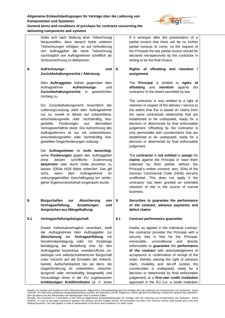

**General terms and conditions of purchase for contracts concerning the delivering components and systems**

| 8.  | Sollte sich nach Stellung einer Teilrechnung<br>herausstellen, dass danach keine weiteren<br>Teilrechnungen erfolgen, ist auf Anforderung<br>von Auftraggeber die letzte Teilrechnung<br>nachträglich von Auftragnehmer schriftlich als<br>Schlussrechnung zu deklarieren.<br>Aufrechnungs-<br>und                                                                                                                                                                                                                                                                                                                        | 8.  | If it emerges after the presentation of a<br>partial invoice that there will be no further<br>partial invoices to come, on the request of<br>the Principal the last partial invoice should be<br>declared retrospectively by the contractor in<br>writing to be the final invoice.<br>Rights of offsetting<br>retention /<br>and                                                                                                                                                                                                                                                                                             |
|-----|---------------------------------------------------------------------------------------------------------------------------------------------------------------------------------------------------------------------------------------------------------------------------------------------------------------------------------------------------------------------------------------------------------------------------------------------------------------------------------------------------------------------------------------------------------------------------------------------------------------------------|-----|------------------------------------------------------------------------------------------------------------------------------------------------------------------------------------------------------------------------------------------------------------------------------------------------------------------------------------------------------------------------------------------------------------------------------------------------------------------------------------------------------------------------------------------------------------------------------------------------------------------------------|
|     | Zurückbehaltungsrechte / Abtretung                                                                                                                                                                                                                                                                                                                                                                                                                                                                                                                                                                                        |     | assignment                                                                                                                                                                                                                                                                                                                                                                                                                                                                                                                                                                                                                   |
|     | Dem Auftraggeber stehen gegenüber dem<br>Aufrechnungs-<br>Auftragnehmer<br>und<br>Zurückbehaltungsrechte<br>in<br>gesetzlichem<br>Umfang zu.                                                                                                                                                                                                                                                                                                                                                                                                                                                                              |     | The <b>Principal</b> is entitled to <b>rights</b><br>оf<br>retention<br>offsetting<br>and<br>against<br>the<br>contractor to the extent permitted by law.                                                                                                                                                                                                                                                                                                                                                                                                                                                                    |
|     | Ein Zurückbehaltungsrecht hinsichtlich der<br>Lieferung/Leistung steht dem Auftragnehmer<br>nur zu, soweit er dieses auf unbestrittene,<br>entscheidungsreife oder rechtskräftig fest-<br>gestellte<br>Forderungen<br>aus<br>demselben<br>Vertragsverhältnis stützt. Die Aufrechnung des<br>Auftragnehmers ist nur mit unbestrittenen,<br>entscheidungsreifen oder rechtskräftig fest-<br>gestellten Gegenforderungen zulässig.<br>Der Auftragnehmer ist nicht berechtigt,<br>seine Forderungen gegen den Auftraggeber                                                                                                    |     | The contractor is only entitled to a right of<br>retention in respect of the delivery / service to<br>the extent that this is based on claims from<br>the same contractual relationship that are<br>established to be undisputed, ready for a<br>decision or determined by final enforceable<br>judgement. Offsetting by the contractor is<br>only permissible with counterclaims that are<br>established to be undisputed, ready for a<br>decision or determined by final enforceable<br>judgement.<br>The contractor is not entitled to assign his                                                                         |
|     | dessen<br>schriftliche<br>Zustimmung<br>ohne<br>abzutreten oder durch Dritte einziehen zu<br>lassen; §354a HGB bleibt unberührt. Das gilt<br>Auftragnehmer<br>nicht,<br>wenn<br>dem<br>im<br>ordnungsgemäßen Geschäftsgang ein verlän-<br>gerter Eigentumsvorbehalt eingeräumt wurde.                                                                                                                                                                                                                                                                                                                                     |     | claims against the Principal or have them<br>by third parties without the<br>collected<br>Principal's written consent; sect. 354a of the<br>German Commercial Code (HGB) remains<br>unaffected. This does not apply if the<br>contractor has been granted an extended<br>retention of title in the course of normal<br>business.                                                                                                                                                                                                                                                                                             |
| 9.  | Bürgschaften<br>Absicherung<br>zur<br>von<br>Vertragserfüllung,<br>Anzahlungen<br>und<br>Ansprüchen aus Mängelhaftung                                                                                                                                                                                                                                                                                                                                                                                                                                                                                                     | 9.  | Securities to guarantee the performance<br>of the contract, advance payments and<br>defect claims                                                                                                                                                                                                                                                                                                                                                                                                                                                                                                                            |
| 9.1 | Vertragserfüllungsbürgschaft                                                                                                                                                                                                                                                                                                                                                                                                                                                                                                                                                                                              | 9.1 | Contract performance guarantee                                                                                                                                                                                                                                                                                                                                                                                                                                                                                                                                                                                               |
|     | Soweit individualvertraglich vereinbart, stellt<br>der Auftragnehmer dem Auftraggeber zur<br>Absicherung der Vertragserfüllung<br>mit<br>Annahmebestätigung oder<br>mit<br>Empfangs<br>bestätigung der Bestellung eine für den<br>Auftraggeber kostenlose, unwiderrufliche, un-<br>bedingte und selbstschuldnerische Bürgschaft<br>unter Verzicht auf die Einreden der Anfecht-<br>barkeit, Aufrechenbarkeit (es sei denn, die<br>Gegenforderung ist unbestritten, entschei-<br>dungsreif oder rechtskräftig festgestellt) und<br>Vorausklage eines in der EU zugelassenen<br>erstklassigen Kreditinstitutes (d. h. eines |     | Insofar as agreed in the individual contract,<br>the contractor provides the Principal with a<br>security that is free for the Principal,<br>irrevocable,<br>unconditional<br>and<br>directly<br>enforceable to guarantee the performance<br>of the contract with acknowledgement of<br>acceptance or confirmation of receipt of the<br>order, thereby waiving the right of advance<br>claim, invalidity and set-off (unless the<br>counterclaim is undisputed, ready for a<br>decision or determined by final enforceable<br>judgement) at a first-rate credit institution<br>approved in the EU (i.e. a credit institution |

Hinweis: Es handelt sich hierbei um eine Ubersetzung der "Allgemeinen Einkaufsbedingungen für Verträge über die Lieferung von Komponenten und Systemen", Stand<br>10/2018". Im Falle einer juristischen Auseinandersetzung zwisch

<sup>10/2018&</sup>quot;. In case of any legal controversy between the German and the English version, the formulation set forth in the German version shall prevail and is the only<br>binding document. This also applies in case of interpreta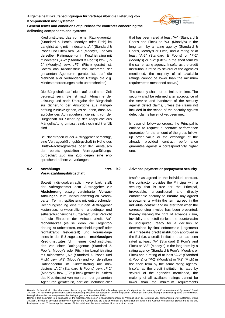

Kreditinstitutes, das von einer Rating-agentur (Standard & Poor's, Moody's oder Fitch) im Langfristrating mit mindestens "A-" (Standard & Poor's und Fitch) bzw. "A3" (Moody's) und von derselben Ratingagentur im Kurzfristrating mit mindestens "A-2" (Standard & Poor's) bzw. "P-2" (Moody's) bzw. "F2" (Fitch) geratet ist. Sofern das Kreditinstitut von mehreren der genannten Agenturen geratet ist, darf die Mehrheit aller vorhandenen Ratings die o.g. Mindestanforderungen nicht unterschreiten).

Die Bürgschaft darf nicht auf bestimmte Zeit begrenzt sein. Sie ist nach Abnahme der Leistung und nach Übergabe der Bürgschaft zur Sicherung der Ansprüche aus Mängelhaftung zurückzugeben, es sei denn, dass Ansprüche des Auftraggebers, die nicht von der Bürgschaft zur Sicherung der Ansprüche aus Mängelhaftung umfasst sind, noch nicht erfüllt sind.

Bei Nachträgen ist der Auftraggeber berechtigt, eine Vertragserfüllungsbürgschaft in Höhe des Brutto-Nachtragswertes oder den Austausch der bereits gestellten Vertragserfüllungsbürgschaft Zug um Zug gegen eine entsprechend höhere zu verlangen.

## **9.2 Anzahlungs- bzw. Vorauszahlungsbürgschaft**

Soweit individualvertraglich vereinbart, stellt der Auftragnehmer dem Auftraggeber zur **Absicherung** etwaig vereinbarter **Vorauszahlungen** zum individualvertraglich vereinbarten Termin, spätestens mit entsprechender Rechnungslegung eine für den Auftraggeber kostenlose, unwiderrufliche, unbedingte und selbstschuldnerische Bürgschaft unter Verzicht auf die Einreden der Anfechtbarkeit, Aufrechenbarkeit (es sei denn, die Gegenforderung ist unbestritten, entscheidungsreif oder rechtskräftig festgestellt) und Vorausklage eines in der EU zugelassenen **erstklassigen Kreditinstitutes** (d. h. eines Kreditinstitutes, das von einer Ratingagentur (Standard & Poor's, Moody's oder Fitch) im Langfristrating mit mindestens "A-" (Standard & Poor's und Fitch) bzw. "A3" (Moody's) und von derselben Ratingagentur im Kurzfristrating mit mindestens "A-2" (Standard & Poor's) bzw. "P-2" (Moody's) bzw. "F2" (Fitch) geratet ist. Sofern das Kreditinstitut von mehreren der genannten Agenturen geratet ist, darf die Mehrheit aller that has been rated at least "A-" (Standard & Poor's and Fitch) or "A3" (Moody's) in the long term by a rating agency (Standard & Poor's, Moody's or Fitch) and a rating of at least "A-2" (Standard & Poor's) or "P-2" (Moody's) or "F2" (Fitch) in the short term by the same rating agency. Insofar as the credit institution is rated by several of the agencies mentioned, the majority of all available ratings cannot be lower than the minimum requirements mentioned above.)

The security shall not be limited in time. The security shall be returned after acceptance of the service and handover of the security against defect claims, unless the claims not included in the scope of the security against defect claims have not yet been met.

In case of follow-up orders, the Principal is entitled to request a contract performance guarantee for the amount of the gross followup order value or the exchange of the already provided contract performance guarantee against a correspondingly higher one.

# **9.2 Advance payment or prepayment security**

Insofar as agreed in the individual contract, the contractor provides the Principal with a security that is free for the Principal, irrevocable, unconditional and directly enforceable security to **ensure** any agreed **prepayments** within the term agreed in the individual contract and no later than when the corresponding invoice has been presented, thereby waiving the right of advance claim, invalidity and setoff (unless the counterclaim is undisputed, ready for a decision or determined by final enforceable judgement) at a **first-rate credit institution** approved in the EU (i.e. a credit institution that has been rated at least "A-" (Standard & Poor's and Fitch) or "A3" (Moody's) in the long term by a rating agency (Standard & Poor's, Moody's or Fitch) and a rating of at least "A-2" (Standard & Poor's) or "P-2" (Moody's) or "F2" (Fitch) in the short term by the same rating agency. Insofar as the credit institution is rated by several of the agencies mentioned, the majority of all available ratings cannot be lower than the minimum requirements

Hinweis: Es handelt sich hierbei um eine Übersetzung der "Allgemeinen Einkaufsbedingungen für Verträge über die Lieferung von Komponenten und Systemen", Stand 10/2018". Im Falle einer juristischen Auseinandersetzung zwischen der deutschen und der englischen Version gilt die Formulierung in deutscher Sprache als verbindlich.

Dies gilt ebenso bei der Interpretation der Bedingungen oder in anderen Fällen.<br>Remark: This document is a translation of the German Allgemeinen Einkaufsbedingungen für Verträge über die Lieferung von Komponenten und Syste 10/2018". In case of any legal controversy between the German and the English version, the formulation set forth in the German version shall prevail and is the only<br>binding document. This also applies in case of interpreta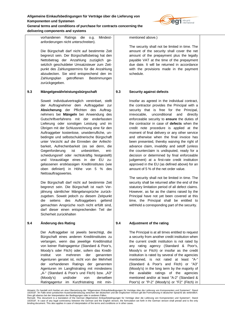

vorhandenen Ratings die o.g. Mindestanforderungen nicht unterschreiten).

Die Bürgschaft darf nicht auf bestimmte Zeit begrenzt sein. Der Bürgschaftsbetrag hat den Nettobetrag der Anzahlung zuzüglich gesetzlich geschuldeter Umsatzsteuer zum Zeitpunkt des Zahlungstermins für die Anzahlung abzudecken. Sie wird entsprechend den im Zahlungsplan getroffenen Bestimmungen zurückgegeben.

# **9.3 Mängelgewährleistungsbürgschaft**

Soweit individualvertraglich vereinbart, stellt der Auftragnehmer dem Auftraggeber zur **Absicherung** der Pflichten des Auftragnehmers bei **Mängeln** bei Anwendung des Gutschriftverfahrens mit der enderfassten Lieferung oder sonstigen Leistung und im Übrigen mit der Schlussrechnung eine für den Auftraggeber kostenlose, unwiderrufliche, unbedingte und selbstschuldnerische Bürgschaft unter Verzicht auf die Einreden der Anfechtbarkeit, Aufrechenbarkeit (es sei denn, die Gegenforderung ist unbestritten, entscheidungsreif oder rechtskräftig festgestellt) und Vorausklage eines in der EU zugelassenen erstklassigen Kreditinstitutes (wie oben definiert) in Höhe von 5 % des Nettoauftragswertes.

Die Bürgschaft darf nicht auf bestimmte Zeit begrenzt sein. Die Bürgschaft ist nach Verjährung sämtlicher Mängelansprüche zurückzugeben. Soweit jedoch zu diesem Zeitpunkt die seitens des Auftraggebers geltend gemachten Ansprüche noch nicht erfüllt sind, darf dieser einen entsprechenden Teil der Sicherheit zurückhalten

# **9.4 Änderung des Rating**

Der Auftraggeber ist jeweils berechtigt, die Bürgschaft eines anderen Kreditinstitutes zu verlangen, wenn das jeweilige Kreditinstitut von keiner Ratingagentur (Standard & Poor's, Moody's oder Fitch) oder, sofern das Kreditinstitut von mehreren der genannten Agenturen geratet ist, nicht von der Mehrheit der vorhandenen Ratings der genannten Agenturen im Langfristrating mit mindestens "A-" (Standard & Poor's und Fitch) bzw. "A3" (Moody's) und/oder von derselben Ratingagentur im Kurzfristrating mit minmentioned above.)

The security shall not be limited in time. The amount of the security shall cover the net amount of the prepayment plus the legally payable VAT at the time of the prepayment due date. It will be returned in accordance with the provisions made in the payment schedule.

# **9.3 Security against defects**

Insofar as agreed in the individual contract, the contractor provides the Principal with a security that is free for the Principal, irrevocable, unconditional and directly enforceable security to **ensure** the duties of the contractor in case of **defects** when the credit note procedure is applied at the moment of final delivery or any other service and otherwise when the final invoice has been presented, thereby waiving the right of advance claim, invalidity and setoff (unless the counterclaim is undisputed, ready for a decision or determined by final enforceable judgement) at a first-rate credit institution approved in the EU (as defined above) for an amount of 5 % of the net order value.

The security shall not be limited in time. The security shall be returned after the end of the statutory limitation period of all defect claims. However, as far as the claims raised by the Principal have not yet been covered at this time, the Principal shall be entitled to withhold a corresponding part of the security.

# **9.4 Adjustment of the rating**

The Principal is at all times entitled to request a security from another credit institution when the current credit institution is not rated by any rating agency (Standard & Poor's, Moody's or Fitch) or insofar as the credit institution is rated by several of the agencies mentioned, is not rated at least "A-" (Standard & Poor's and Fitch) or "A3" (Moody's) in the long term by the majority of the available ratings of the agencies mentioned and/or at least "A-2" (Standard & Poor's) or "P-2" (Moody's) or "F2" (Fitch) in

Hinweis: Es handelt sich hierbei um eine Übersetzung der "Allgemeinen Einkaufsbedingungen für Verträge über die Lieferung von Komponenten und Systemen", Stand 10/2018". Im Falle einer juristischen Auseinandersetzung zwischen der deutschen und der englischen Version gilt die Formulierung in deutscher Sprache als verbindlich.

Dies gilt ebenso bei der Interpretation der Bedingungen oder in anderen Fällen.<br>Remark: This document is a translation of the German Allgemeinen Einkaufsbedingungen für Verträge über die Lieferung von Komponenten und Syste 10/2018". In case of any legal controversy between the German and the English version, the formulation set forth in the German version shall prevail and is the only<br>binding document. This also applies in case of interpreta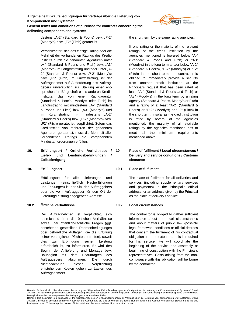

destens "A-2" (Standard & Poor's) bzw. "P-2" (Moody's) bzw. "F2" (Fitch) geratet ist.

Verschlechtert sich das einzige Rating oder die Mehrheit der vorhandenen Ratings des Kreditinstituts durch die genannten Agenturen unter "A-" (Standard & Poor's und Fitch) bzw. "A3" (Moody's) im Langfristrating und/oder unter "A-2" (Standard & Poor's) bzw. "P-2" (Moody's) bzw. "F2" (Fitch) im Kurzfristrating, ist der Auftragnehmer auf Aufforderung des Auftraggebers unverzüglich zur Stellung einer entsprechenden Bürgschaft eines anderen Kreditinstituts, das von einer Ratingagentur (Standard & Poor's, Moody's oder Fitch) im Langfristrating mit mindestens "A-" (Standard & Poor's und Fitch) bzw. "A3" (Moody's) und im Kurzfristrating mit mindestens "A-2" (Standard & Poor's) bzw. "P-2" (Moody's) bzw. "F2" (Fitch) geratet ist, verpflichtet. Sofern das Kreditinstitut von mehreren der genannten Agenturen geratet ist, muss die Mehrheit aller vorhandenen Ratings die vorgenannten Mindestanforderungen erfüllen.

**10. Erfüllungsort / Örtliche Verhältnisse / Liefer- und Leistungsbedingungen / Zollabfertigung**

## **10.1 Erfüllungsort**

Erfüllungsort für alle Lieferungen und Leistungen (einschließlich Nacherfüllungen und Zahlungen) ist der Sitz des Auftraggebers oder die vom Auftraggeber für den Ort der Lieferung/Leistung angegebene Adresse.

# **10.2 Örtliche Verhältnisse**

Der Auftragnehmer ist verpflichtet, sich ausreichend über die örtlichen Verhältnisse sowie über öffentlich-rechtliche Fragen (ggf. bestehende gesetzliche Rahmenbedingungen oder behördliche Auflagen, die die Erfüllung seiner vertraglichen Pflichten betreffen), soweit dies zur Erbringung seiner Leistung erforderlich ist, zu informieren. Er wird den Beginn der Anlieferung und Montage bzw. Baubeginn mit dem Beauftragten des Auftraggebers abstimmen. Die durch Nichtbeachtung dieser Verpflichtung entstehenden Kosten gehen zu Lasten des Auftragnehmers.

the short term by the same rating agencies.

If one rating or the majority of the relevant ratings of the credit institution by the agencies mentioned is lowered below "A-" (Standard & Poor's and Fitch) or "A3" (Moody's) in the long term and/or below "A-2" (Standard & Poor's), "P-2" (Moody's) or "F2" (Fitch) in the short term, the contractor is obliged to immediately provide a security from another credit institution at the Principal's request that has been rated at least "A-" (Standard & Poor's and Fitch) or "A3" (Moody's) in the long term by a rating agency (Standard & Poor's, Moody's or Fitch) and a rating of at least "A-2" (Standard & Poor's) or "P-2" (Moody's) or "F2" (Fitch) in the short term. Insofar as the credit institution is rated by several of the agencies mentioned, the majority of all available ratings by the agencies mentioned has to meet all the minimum requirements mentioned above.

## **10. Place of fulfilment / Local circumstances / Delivery and service conditions / Customs clearance**

# **10.1 Place of fulfilment**

The place of fulfilment for all deliveries and services (including supplementary services and payments) is the Principal's official address, or an address given by the Principal as the place of delivery / service.

# **10.2 Local circumstances**

The contractor is obliged to gather sufficient information about the local circumstances and about matters of public law (possible legal framework conditions or official decrees that concern the fulfilment of his contractual obligations), to the extent that this is required for his service. He will coordinate the beginning of the service and assembly or beginning of construction with the Principal's representatives. Costs arising from the noncompliance with this obligation will be borne by the contractor.

Hinweis: Es handelt sich hierbei um eine Übersetzung der "Allgemeinen Einkaufsbedingungen für Verträge über die Lieferung von Komponenten und Systemen", Stand 10/2018". Im Falle einer juristischen Auseinandersetzung zwischen der deutschen und der englischen Version gilt die Formulierung in deutscher Sprache als verbindlich.

Dies gilt ebenso bei der Interpretation der Bedingungen oder in anderen Fällen.<br>Remark: This document is a translation of the German Allgemeinen Einkaufsbedingungen für Verträge über die Lieferung von Komponenten und Syste 10/2018". In case of any legal controversy between the German and the English version, the formulation set forth in the German version shall prevail and is the only<br>binding document. This also applies in case of interpreta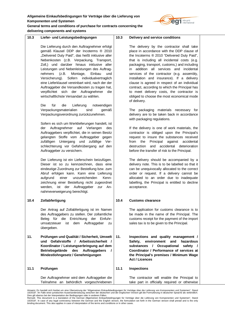

# **General terms and conditions of purchase for contracts concerning the delivering components and systems**

| 10.3 | Liefer- und Leistungsbedingungen                                                                                                                                                                                                                                                                                                                                                                                                                                                                                                                                                        | 10.3 | Delivery and service conditions                                                                                                                                                                                                                                                                                                                                                                                                                                                                                                                                                                   |
|------|-----------------------------------------------------------------------------------------------------------------------------------------------------------------------------------------------------------------------------------------------------------------------------------------------------------------------------------------------------------------------------------------------------------------------------------------------------------------------------------------------------------------------------------------------------------------------------------------|------|---------------------------------------------------------------------------------------------------------------------------------------------------------------------------------------------------------------------------------------------------------------------------------------------------------------------------------------------------------------------------------------------------------------------------------------------------------------------------------------------------------------------------------------------------------------------------------------------------|
|      | Die Lieferung durch den Auftragnehmer erfolgt<br>gemäß Klausel DDP der Incoterms ® 2010<br>"Delivered Duty Paid", das heißt inklusive aller<br>Nebenkosten (z.B. Verpackung, Transport,<br>Zoll,) und darüber hinaus inklusive aller<br>Leistungen und Nebenleistungen des Auftrag-<br>nehmers<br>(z.B.<br>Montage,<br>Einbau<br>und<br>Sofern<br>individualvertraglich<br>Versicherung).<br>eine Lieferklausel vereinbart wird, nach der der<br>Auftraggeber die Versandkosten zu tragen hat,<br>verpflichtet sich der Auftragnehmer<br>die<br>wirtschaftlichste Versandart zu wählen. |      | The delivery by the contractor shall take<br>place in accordance with the DDP clause of<br>the Incoterms ® 2010 "Delivered Duty Paid",<br>that is including all incidental costs (e.g.<br>packaging, transport, customs,) and including<br>addition all services and<br>incidental<br>in<br>services of the contractor (e.g. assembly,<br>installation and insurance). If a delivery<br>clause is agreed in respect of an individual<br>contract, according to which the Principal has<br>to meet delivery costs, the contractor is<br>obliged to choose the most economical mode<br>of delivery. |
|      | Die<br>für<br>die<br>Lieferung<br>notwendigen<br>Verpackungsmaterialien<br>sind<br>gemäß<br>Verpackungsverordnung zurückzunehmen.                                                                                                                                                                                                                                                                                                                                                                                                                                                       |      | The packaging materials necessary for<br>delivery are to be taken back in accordance<br>with packaging regulations.                                                                                                                                                                                                                                                                                                                                                                                                                                                                               |
|      | Sofern es sich um Werklieferungen handelt, ist<br>der Auftragnehmer auf Verlangen<br>des<br>Auftraggebers verpflichtet, die in seinen Besitz<br>gelangten Stoffe vom Auftraggeber gegen<br>zufälligen Untergang<br>und<br>zufällige Ver-<br>schlechterung vor Gefahrübergang auf den<br>Auftraggeber zu versichern.                                                                                                                                                                                                                                                                     |      | If the delivery is one of work materials, the<br>contractor is obliged upon the Principal's<br>request to insure the substances received<br>Principal<br>against<br>accidental<br>from<br>the<br>accidental deterioration<br>destruction<br>and<br>before the transfer of risk to the Principal.                                                                                                                                                                                                                                                                                                  |
|      | Der Lieferung ist ein Lieferschein beizufügen.<br>Dieser ist so zu kennzeichnen, dass eine<br>eindeutige Zuordnung zur Bestellung bzw. zum<br>Abruf erfolgen kann. Kann eine Lieferung<br>einer<br>unzureichenden<br>Kenn-<br>aufgrund<br>zeichnung einer Bestellung nicht zugeordnet<br>ist der Auftraggeber<br>werden,<br>zur<br>An-<br>nahmeverweigerung berechtigt.                                                                                                                                                                                                                 |      | The delivery should be accompanied by a<br>delivery note. This is to be labelled so that it<br>can be unequivocally allocated to the correct<br>order or request. If a delivery cannot be<br>allocated to an order due to inadequate<br>labelling, the Principal is entitled to decline<br>acceptance.                                                                                                                                                                                                                                                                                            |
| 10.4 | Zollabfertigung                                                                                                                                                                                                                                                                                                                                                                                                                                                                                                                                                                         | 10.4 | <b>Customs clearance</b>                                                                                                                                                                                                                                                                                                                                                                                                                                                                                                                                                                          |
|      | Der Antrag auf Zollabfertigung ist im Namen<br>des Auftraggebers zu stellen. Der zollamtliche<br>Entrichtung<br>Beleg für<br>die<br>der<br>Einfuhr-<br>Auftraggeber<br>umsatzsteuer<br>ist<br>dem<br>zu<br>übergeben.                                                                                                                                                                                                                                                                                                                                                                   |      | The application for customs clearance is to<br>be made in the name of the Principal. The<br>customs receipt for the payment of the import<br>sales tax is to be given to the Principal.                                                                                                                                                                                                                                                                                                                                                                                                           |
| 11.  | Prüfungen und Qualität / Sicherheit, Umwelt<br>Gefahrstoffe / Arbeitssicherheit /<br>und<br>Koordinator / Leistungserbringung auf dem<br>Betriebsgelände<br>des<br>Auftraggebers<br>$\prime$<br>Mindestlohngesetz / Genehmigungen                                                                                                                                                                                                                                                                                                                                                       | 11.  | Inspections and quality management /<br>environment<br>and<br>hazardous<br>Safety,<br>Occupational<br>substances<br>safety<br>L<br>Coordinator / Performance of services at<br>the Principal's premises / Minimum Wage<br>Act / Licences                                                                                                                                                                                                                                                                                                                                                          |
| 11.1 | Prüfungen                                                                                                                                                                                                                                                                                                                                                                                                                                                                                                                                                                               | 11.1 | <b>Inspections</b>                                                                                                                                                                                                                                                                                                                                                                                                                                                                                                                                                                                |
|      | Der Auftragnehmer wird dem Auftraggeber die<br>Teilnahme an behördlich vorgeschriebenen                                                                                                                                                                                                                                                                                                                                                                                                                                                                                                 |      | The contractor will enable the Principal to<br>take part in officially required or otherwise                                                                                                                                                                                                                                                                                                                                                                                                                                                                                                      |

Hinweis: Es handelt sich hierbei um eine Ubersetzung der "Allgemeinen Einkaufsbedingungen für Verträge über die Lieferung von Komponenten und Systemen", Stand<br>10/2018". Im Falle einer juristischen Auseinandersetzung zwisch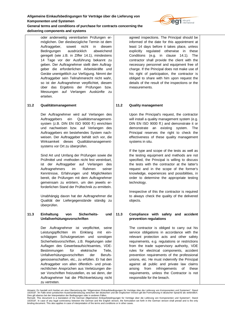

**delivering components and systems**

oder anderweitig vereinbarten Prüfungen ermöglichen. Der diesbezügliche Termin ist dem Auftraggeber, soweit nicht in diesem Bedingungen ausdrücklich abweichend geregelt (wie z.B. in Ziffer 14.1), mindestens 14 Tage vor der Ausführung bekannt zu geben. Der Auftragnehmer stellt dem Auftraggeber die erforderlichen Arbeitskräfte und Geräte unentgeltlich zur Verfügung. Nimmt der Auftraggeber sein Teilnahmerecht nicht wahr, so ist der Auftragnehmer verpflichtet, diesem über das Ergebnis der Prüfungen bzw. Messungen auf Verlangen Auskünfte zu erteilen.

# **11.2 Qualitätsmanagement**

Der Auftragnehmer wird auf Verlangen des Auftraggebers ein Qualitätsmanagementsystem (z.B. DIN EN ISO 9000 ff.) einrichten und nachweisen bzw. auf Verlangen des Auftraggebers ein bestehendes System nachweisen. Der Auftraggeber behält sich vor, die Wirksamkeit dieses Qualitätsmanagementsystems vor Ort zu überprüfen.

Sind Art und Umfang der Prüfungen sowie die Prüfmittel und -methoden nicht fest vereinbart, ist der Auftraggeber auf Verlangen des Auftragnehmers im Rahmen seiner Kenntnisse, Erfahrungen und Möglichkeiten bereit, die Prüfungen mit dem Auftragnehmer gemeinsam zu erörtern, um den jeweils erforderlichen Stand der Prüftechnik zu ermitteln.

Unabhängig davon hat der Auftragnehmer die Qualität der Liefergegenstände ständig zu überprüfen.

# **11.3 Einhaltung von Sicherheits- und Unfallverhütungsvorschriften**

Der Auftragnehmer ist verpflichtet, seine Leistungspflichten im Einklang mit einschlägigen Schutzgesetzen und sonstigen Sicherheitsvorschriften, z.B. Regelungen oder Auflagen des Gewerbeaufsichtsamtes, VDE-Bestimmungen für elektrische Teile, Unfallverhütungsvorschriften der Berufsgenossenschaften, etc., zu erfüllen. Er hat den Auftraggeber von allen öffentlich- und privatrechtlichen Ansprüchen aus Verletzungen dieser Vorschriften freizustellen, es sei denn, der Auftragnehmer hat die Pflichtverletzung nicht zu vertreten.

agreed inspections. The Principal should be informed of the date for this appointment at least 14 days before it takes place, unless explicitly regulated otherwise in these Conditions (e.g. in clause 14.1). The contractor shall provide the client with the necessary personnel and equipment free of charge. If the Principal does not make use of his right of participation, the contractor is obliged to share with him upon request the details of the result of the inspections or the measurements.

# **11.2 Quality management**

Upon the Principal's request, the contractor will install a quality management system (e.g. DIN EN ISO 9000 ff.) and demonstrate it or demonstrate an existing system. The Principal reserves the right to check the effectiveness of these quality management systems in situ.

If the type and scope of the tests as well as the testing equipment and methods are not specified, the Principal is willing to discuss the tests with the contractor at the latter's request and in the scope of the former's knowledge, experiences and possibilities, in order to determine the appropriate testing technology.

Irrespective of this the contractor is required to always check the quality of the delivered objects.

# **11.3 Compliance with safety and accident prevention regulations**

The contractor is obliged to carry out his service obligations in accordance with the relevant protection acts and other safety requirements, e.g. regulations or restrictions from the trade supervisory authority, VDE rules for electrical components, accident prevention requirements of the professional unions, etc. He must indemnify the Principal against all public and private law claims arising from infringements of these requirements, unless the Contractor is not responsible for the breach.

Hinweis: Es handelt sich hierbei um eine Übersetzung der "Allgemeinen Einkaufsbedingungen für Verträge über die Lieferung von Komponenten und Systemen", Stand 10/2018". Im Falle einer juristischen Auseinandersetzung zwischen der deutschen und der englischen Version gilt die Formulierung in deutscher Sprache als verbindlich.

Dies gilt ebenso bei der Interpretation der Bedingungen oder in anderen Fällen.<br>Remark: This document is a translation of the German Allgemeinen Einkaufsbedingungen für Verträge über die Lieferung von Komponenten und Syste 10/2018". In case of any legal controversy between the German and the English version, the formulation set forth in the German version shall prevail and is the only<br>binding document. This also applies in case of interpreta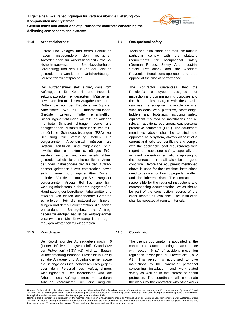

**delivering components and systems**

# **11.4 Arbeitssicherheit**

Geräte und Anlagen und deren Benutzung haben insbesondere den rechtlichen Anforderungen zur Arbeitssicherheit (Produktsicherheitsgesetz, Betriebssicherheitsverordnung) und den zur Zeit der Leistung geltenden anwendbaren Unfallverhütungsvorschriften zu entsprechen.

Der Auftragnehmer stellt sicher, dass vom Auftraggeber für Kontroll- und Inbetriebsetzungszwecke eingesetzten Mitarbeitern sowie von ihm mit diesen Aufgaben betrauten Dritten die auf der Baustelle verfügbaren Arbeitsmittel wie z.B. Hubarbeitsbühnen, Gerüste, Leitern, Tritte einschließlich Sicherungsvorrichtungen wie z.B. an Anlagen montierte Schutzeinrichtungen sowie alle dazugehörigen Zusatzausrüstungen wie z.B. persönliche Schutzausrüstungen (PSA) zur Benutzung zur Verfügung stehen. Die vorgenannten Arbeitsmittel müssen als System zertifiziert und zugelassen sein, jeweils über ein aktuelles, gültiges Prüfzertifikat verfügen und den jeweils aktuell geltenden arbeitssicherheitsrechtlichen Anforderungen insbesondere den für den Auftragnehmer geltenden UVVs entsprechen sowie sich in einem ordnungsgemäßen Zustand befinden. Vor der erstmaligen Benutzung der vorgenannten Arbeitsmittel hat eine Einweisung mindestens in der ordnungsgemäßen Handhabung der betroffenen Arbeitsmittel und etwaiger von diesen ausgehender Gefahren zu erfolgen. Für die notwendigen Einweisungen und deren Dokumentation, die, soweit vorhanden, im Bautagebuch des Auftraggebers zu erfolgen hat, ist der Auftragnehmer verantwortlich. Die Einweisung ist in regelmäßigen Abständen zu wiederholen.

#### **11.5 Koordinator**

Der Koordinator des Auftraggebers nach § 6 (1) der Unfallverhütungsvorschrift "Grundsätze der Prävention" (BGV A1) wird zur Bauanlaufbesprechung benannt. Dieser ist in Bezug auf die Anlagen- und Arbeitssicherheit sowie die Belange des Gesundheitsschutzes gegenüber dem Personal des Auftragnehmers weisungsbefugt. Der Koordinator wird die Arbeiten des Auftragnehmers mit anderen Arbeiten koordinieren, um eine mögliche

#### **11.4 Occupational safety**

Tools and installations and their use must in particular comply with the statutory requirements for occupational safety (German Product Safety Act, Industrial Safety Regulation) and the Accident Prevention Regulations applicable and to be applied at the time of performance.

The contractor guarantees that the Principal's employees assigned for inspection and commissioning purposes and the third parties charged with these tasks can use the equipment available on site, such as aerial work platforms, scaffoldings, ladders and footsteps, including safety equipment mounted on installations and all relevant additional equipment, e.g. personal protective equipment (PPE). The equipment mentioned above shall be certified and approved as a system, always dispose of a current and valid test certificate and comply with the applicable legal requirements with regard to occupational safety, especially the accident prevention regulations applying to the contractor. It shall also be in good condition. Before the equipment mentioned above is used for the first time, instructions need to be given on how to properly handle it and the inherent risks. The contractor is responsible for the required instructions and corresponding documentation, which should be part of the construction records of the client insofar as available. The instruction shall be repeated at regular intervals.

#### **11.5 Coordinator**

The client's coordinator is appointed at the construction launch meeting in accordance with section 6 (1) of accident prevention regulation "Principles of Prevention" (BGV A1). This person is authorised to give instructions to the contractor personnel concerning installation- and work-related safety as well as in the interest of health protection. The coordinator will coordinate the works by the contractor with other works

Dies gilt ebenso bei der Interpretation der Bedingungen oder in anderen Fällen.<br>Remark: This document is a translation of the German Allgemeinen Einkaufsbedingungen für Verträge über die Lieferung von Komponenten und Syste 10/2018". In case of any legal controversy between the German and the English version, the formulation set forth in the German version shall prevail and is the only<br>binding document. This also applies in case of interpreta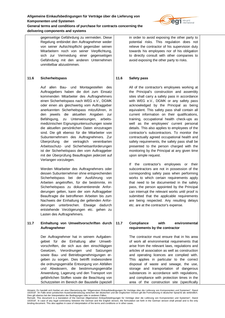

**delivering components and systems** gegenseitige Gefährdung zu vermeiden. Diese Regelung entbindet den Auftragnehmer weder von seiner Aufsichtspflicht gegenüber seinen Mitarbeitern noch von seiner Verpflichtung,

sich zur Vermeidung einer gegenseitigen Gefährdung mit den anderen Unternehmen unmittelbar abzustimmen.

# **11.6 Sicherheitspass**

Auf allen Bau- und Montagestellen des Auftraggebers haben die dort zum Einsatz kommenden Mitarbeiter des Auftragnehmers einen Sicherheitspass nach WEG e.V., DGMK oder einen als gleichwertig vom Auftraggeber anerkannten Sicherheitspass mitzuführen, in den jeweils die aktuellen Angaben zur Befähigung, zu Unterweisungen, arbeitsmedizinischen Eignungsuntersuchungen sowie die aktuellen persönlichen Daten einzutragen sind. Die gilt ebenso für die Mitarbeiter von Subunternehmern des Auftragnehmers. Zur Überprüfung der vertraglich vereinbarten Arbeitsschutz- und Sicherheitsanforderungen ist der Sicherheitspass den vom Auftraggeber mit der Überprüfung Beauftragten jederzeit auf Verlangen vorzulegen.

Werden Mitarbeiter des Auftragnehmers oder dessen Subunternehmer ohne entsprechenden Sicherheitspass bei der Ausführung von Arbeiten angetroffen, für die bestimmte, im Sicherheitspass zu dokumentierende Anforderungen gelten, kann der vom Auftraggeber Beauftragte die betroffenen Arbeiten bis zum Nachweis der Einhaltung der geltenden Anforderungen unterbrechen. Etwaige dadurch entstehende Verzögerungen etc. gehen zu Lasten des Auftragnehmers.

# **11.7 Einhaltung von Umweltvorschriften durch Auftragnehmer**

Der Auftragnehmer hat in seinem Aufgabengebiet für die Einhaltung aller Umweltvorschriften, die sich aus den einschlägigen Gesetzen, Verordnungen und Satzungen sowie Bau- und Betriebsgenehmigungen ergeben zu sorgen. Dies betrifft insbesondere die ordnungsgemäße Entsorgung von Abfällen und Abwässern, die bestimmungsgemäße Anwendung, Lagerung und den Transport von gefährlichen Stoffen sowie die Beachtung von Schutzzeiten im Bereich der Baustelle (speziell in order to avoid exposing the other party to potential risks. This regulation does not relieve the contractor of his supervision duty towards his employees nor of his obligation to directly consult with other companies to avoid exposing the other party to risks.

# **11.6 Safety pass**

All of the contractor's employees working at the Principal's construction and assembly sites shall carry a safety pass in accordance with WEG e.V., DGMK or any safety pass acknowledged by the Principal as being equivalent. This safety pass shall contain all current information on their qualifications, training, occupational health check-ups as well as the employees' current personal details. This also applies to employees of the contractor's subcontractors. To monitor the contractually agreed occupational health and safety requirements, the safety pass shall be presented to the person charged with the monitoring by the Principal at any given time upon simple request.

If the contractor's employees or their subcontractors are not in possession of the corresponding safety pass when performing works to which certain requirements apply that need to be documented in the safety pass, the person appointed by the Principal can interrupt the relevant works until proof is submitted that the applicable requirements are being respected. Any resulting delays etc. are at the contractor's expense.

**11.7 Compliance with environmental requirements by the contractor**

> The contractor must ensure that in his area of work all environmental requirements that arise from the relevant laws, regulations and articles of association as well as construction and operating licences are complied with. This applies in particular to the correct disposal of waste and sewage, the use, storage and transportation of dangerous substances in accordance with regulations, and compliance with protection times in the area of the construction site (specifically

Hinweis: Es handelt sich hierbei um eine Übersetzung der "Allgemeinen Einkaufsbedingungen für Verträge über die Lieferung von Komponenten und Systemen", Stand 10/2018". Im Falle einer juristischen Auseinandersetzung zwischen der deutschen und der englischen Version gilt die Formulierung in deutscher Sprache als verbindlich.

Dies gilt ebenso bei der Interpretation der Bedingungen oder in anderen Fällen.<br>Remark: This document is a translation of the German Allgemeinen Einkaufsbedingungen für Verträge über die Lieferung von Komponenten und Syste 10/2018". In case of any legal controversy between the German and the English version, the formulation set forth in the German version shall prevail and is the only<br>binding document. This also applies in case of interpreta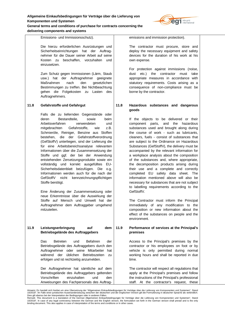#### **delivering components and systems**

elia grid

| Emissions- und Immissionsschutz).            |  |  |  |
|----------------------------------------------|--|--|--|
| Die hierzu erforderlichen Ausrüstungen und   |  |  |  |
| Sicherheitseinrichtungen hat der Auftrag-    |  |  |  |
| nehmer für die Dauer seiner Arbeit auf seine |  |  |  |
| Kosten zu beschaffen, vorzuhalten und        |  |  |  |
| einzusetzen.                                 |  |  |  |

Zum Schutz gegen Immissionen (Lärm, Staub usw.) hat der Auftragnehmer geeignete Maßnahmen nach den gesetzlichen Bestimmungen zu treffen. Bei Nichtbeachtung gehen die Folgekosten zu Lasten des Auftragnehmers.

# **11.8 Gefahrstoffe und Gefahrgut**

Falls die zu liefernden Gegenstände oder deren Bestandteile, sowie beim Arbeitsverfahren verwendeten und mitgebrachten Gefahrstoffe, wie z.B. Schmieröle, Reiniger, Benzine aus Stoffen bestehen, die der Gefahrstoffverordnung (GefStoffV) unterliegen, sind der Lieferung die für eine Arbeitsbereichsanalyse relevanten Informationen über die Zusammensetzung der Stoffe und ggf. der bei der Anwendung entstehenden Zersetzungsprodukte sowie ein vollständig und korrekt ausgefülltes EU-Sicherheitsdatenblatt beizufügen. Die o.g. Informationen werden auch für die nach der GefStoffV nicht kennzeichnungspflichtigen Stoffe benötigt.

Eine Änderung der Zusammensetzung oder neue Erkenntnisse über die Auswirkung der Stoffe auf Mensch und Umwelt hat der Auftragnehmer dem Auftraggeber umgehend mitzuteilen.

**11.9 Leistungserbringung auf dem Betriebsgelände des Auftraggebers**

> Das Betreten und Befahren der Betriebsgelände des Auftraggebers durch den Auftragnehmer oder seine Mitarbeiter hat während der üblichen Betriebszeiten zu erfolgen und ist rechtzeitig anzumelden.

> Der Auftragnehmer hat sämtliche auf dem Betriebsgelände des Auftraggebers geltenden Vorschriften einzuhalten und den Anweisungen des Fachpersonals des Auftrag

emissions and immission protection).

The contractor must procure, store and deploy the necessary equipment and safety devices for the duration of his work at his own expense.

For protection against immissions (noise, dust etc.) the contractor must take appropriate measures in accordance with statutory requirements. Costs arising as a consequence of non-compliance must be borne by the contractor.

# **11.8 Hazardous substances and dangerous goods**

If the objects to be delivered or their component parts, and the hazardous substances used and brought along during the course of work - such as lubricants, cleaners, fuels - consist of substances that are subject to the Ordinance on Hazardous Substances (GefStoffV), the delivery must be accompanied by the relevant information for a workplace analysis about the composition of the substances and, where appropriate, the decomposition products arising during their use and a complete and correctly completed EU safety data sheet. The information mentioned above will also be necessary for substances that are not subject to labelling requirements according to the GefStoffV.

The Contractor must inform the Principal immediately of any modification to the composition or new information about the effect of the substances on people and the environment.

# **11.9 Performance of services at the Principal's premises**

Access to the Principal's premises by the contractor or his employees on foot or by vehicle is only permitted during normal working hours and shall be reported in due time.

The contractor will respect all regulations that apply at the Principal's premises and follow the instructions of the Principal's professional staff. At the contractor's request, these

Hinweis: Es handelt sich hierbei um eine Übersetzung der "Allgemeinen Einkaufsbedingungen für Verträge über die Lieferung von Komponenten und Systemen", Stand 10/2018". Im Falle einer juristischen Auseinandersetzung zwischen der deutschen und der englischen Version gilt die Formulierung in deutscher Sprache als verbindlich.

Dies gilt ebenso bei der Interpretation der Bedingungen oder in anderen Fällen.<br>Remark: This document is a translation of the German Allgemeinen Einkaufsbedingungen für Verträge über die Lieferung von Komponenten und Syste 10/2018". In case of any legal controversy between the German and the English version, the formulation set forth in the German version shall prevail and is the only<br>binding document. This also applies in case of interpreta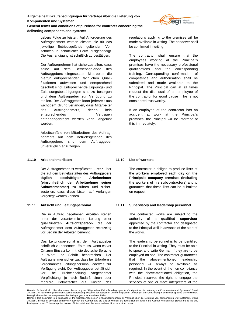

**delivering components and systems** gebers Folge zu leisten. Auf Anforderung des Auftragnehmers werden diesem die für das jeweilige Betriebsgelände geltenden Vor-

schriften in schriftlicher Form ausgehändigt. Die Aushändigung ist schriftlich zu bestätigen.

Der Auftragnehmer hat sicherzustellen, dass seine auf dem Betriebsgelände des Auftraggebers eingesetzten Mitarbeiter die hierfür entsprechenden fachlichen Qualifikationen aufweisen und entsprechend geschult sind. Entsprechende Eignungs- und Zulassungsbestätigungen sind zu besorgen und dem Auftraggeber zur Verfügung zu stellen. Der Auftraggeber kann jederzeit aus wichtigem Grund verlangen, dass Mitarbeiter des Auftragnehmers, denen kein entsprechendes Vertrauen entgegengebracht werden kann, abgelöst werden.

Arbeitsunfälle von Mitarbeitern des Auftragnehmers auf dem Betriebsgelände des Auftraggebers sind dem Auftraggeber unverzüglich anzuzeigen.

# **11.10 Arbeitnehmerlisten**

Der Auftragnehmer ist verpflichtet, **Listen** über die auf den Betriebsstätten des Auftraggebers **täglich beschäftigten Arbeitnehmer (einschließlich der Arbeitnehmer seiner Subunternehmer)** zu führen und sicherzustellen, dass diese Listen auf Verlangen vorgelegt werden können.

# **11.11 Aufsicht und Leitungspersonal**

Die in Auftrag gegebenen Arbeiten stehen unter der verantwortlichen Leitung einer **qualifizierten Aufsichtsperson**, die der Auftragnehmer dem Auftraggeber rechtzeitig vor Beginn der Arbeiten benennt.

Das Leitungspersonal ist dem Auftraggeber schriftlich zu benennen. Es muss, wenn es vor Ort zum Einsatz kommt, die deutsche Sprache in Wort und Schrift beherrschen. Der Auftragnehmer sichert zu, dass bei Erfordernis vorgenanntes Leitungspersonal jederzeit zur Verfügung steht. Der Auftraggeber behält sich vor, bei Nichteinhaltung vorgenannter Verpflichtung, je nach Bedarf, einen oder mehrere Dolmetscher auf Kosten des regulations applying to the premises will be made available in writing. The handover shall be confirmed in writing.

The contractor shall ensure that the employees working at the Principal's premises have the necessary professional qualifications and the corresponding training. Corresponding confirmation of competence and authorisation shall be submitted and made available to the Principal. The Principal can at all times request the dismissal of an employee of the contractor for good cause if he is not considered trustworthy.

If an employee of the contractor has an accident at work at the Principal's premises, the Principal will be informed of this immediately.

# **11.10 List of workers**

The contractor is obliged to produce **lists** of the **workers employed each day on the Principal's company premises (including the workers of his subcontractors)** and to guarantee that these lists can be submitted on request.

# **11.11 Supervisory and leadership personnel**

The contracted works are subject to the authority of a **qualified supervisor**  appointed by the contractor and designated to the Principal well in advance of the start of the works.

The leadership personnel is to be identified to the Principal in writing. They must be able to speak and write German if they are to be employed on site. The contractor guarantees that the above-mentioned leadership personnel will always be available as required. In the event of the non-compliance with the above-mentioned obligation, the Principal reserves the right to engage the services of one or more interpreters at the

Hinweis: Es handelt sich hierbei um eine Übersetzung der "Allgemeinen Einkaufsbedingungen für Verträge über die Lieferung von Komponenten und Systemen", Stand 10/2018". Im Falle einer juristischen Auseinandersetzung zwischen der deutschen und der englischen Version gilt die Formulierung in deutscher Sprache als verbindlich.

Dies gilt ebenso bei der Interpretation der Bedingungen oder in anderen Fällen.<br>Remark: This document is a translation of the German Allgemeinen Einkaufsbedingungen für Verträge über die Lieferung von Komponenten und Syste 10/2018". In case of any legal controversy between the German and the English version, the formulation set forth in the German version shall prevail and is the only<br>binding document. This also applies in case of interpreta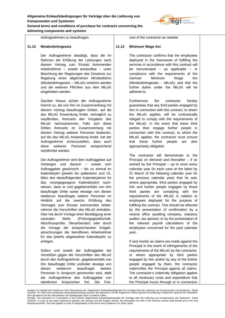

**delivering components and systems**

Auftragnehmers zu beauftragen.

#### **11.12 Mindestlohngesetz**

Der Auftragnehmer bestätigt, dass die im Rahmen der Erfüllung der Leistungen nach diesem Vertrag zum Einsatz kommenden Arbeitnehmer – soweit anwendbar – unter Beachtung der Regelungen des Gesetzes zur Regelung eines allgemeinen Mindestlohns (Mindestlohngesetz – MiLoG) entlohnt werden und die weiteren Pflichten aus dem MiLoG eingehalten werden.

Darüber hinaus sichert der Auftragnehmer hiermit zu, die von ihm im Zusammenhang mit diesem Vertrag beauftragten Dritten, auf die das MiLoG Anwendung findet, vertraglich zu verpflichten, ihrerseits den Vorgaben des MiLoG nachzukommen. Falls sich diese Dritten ihrerseits im Zusammenhang mit diesem Vertrag weiterer Personen bedienen, auf die das MiLoG Anwendung findet, hat der Auftragnehmer sicherzustellen, dass auch diese weiteren Personen entsprechend verpflichtet werden.

Der Auftragnehmer wird dem Auftraggeber auf Verlangen und danach – soweit vom Auftraggeber gewünscht – bis zu einmal im Kalenderjahr (jeweils bis spätestens zum 31. März des darauffolgenden Kalenderjahres für das vorangegangene Kalenderjahr) nachweisen, dass er und gegebenenfalls von ihm beauftragte Dritte sowie etwaige von diesen wiederum beauftragte weitere Personen im Hinblick auf die zwecks Erfüllung des Vertrages zum Einsatz kommenden Arbeitnehmer die Vorschriften des MiLoG einhalten. Dies hat durch Vorlage einer Bestätigung einer neutralen Stelle (Prüfungsgesellschaft, Abschlussprüfer, Steuerberater) oder durch die Vorlage der entsprechenden Entgeltabrechnungen der betroffenen Arbeitnehmer für das jeweils abgelaufene Kalenderjahr zu erfolgen.

Sofern und soweit der Auftraggeber bei Verstößen gegen die Vorschriften des MiLoG durch den Auftragnehmer, gegebenenfalls von ihm beauftragte Dritte und/oder etwaige von diesen wiederum beauftragte weitere Personen in Anspruch genommen wird, stellt der Auftragnehmer den Auftraggeber von sämtlichen Ansprüchen frei. Die Freicost of the contractor as needed.

#### **11.12 Minimum Wage Act**

The contractor confirms that the employees deployed in the framework of fulfilling the services in accordance with this contract will be remunerated – as applicable – in compliance with the requirements of the German Minimum Wage Act (Mindestlohngesetz - MiLoG) and that the further duties under the MiLoG will be adhered to.

Furthermore the contractor hereby guarantees that any third parties engaged by him in connection with this contract, to whom the MiLoG applies, will be contractually obliged to comply with the requirements of the MiLoG. In the event that these third parties then engage further people in connection with this contract, to whom the MiLoG applies, the contractor must ensure that these further people are also appropriately obligated.

The contractor will demonstrate to the Principal on demand and thereafter – if so wished by the Principal – up to once every calendar year (in each case at the latest by 31 March of the following calendar year for the previous calendar year) that he and, where appropriate, third parties engaged by him and further people engaged by those third parties are complying with the requirements of the MiLoG in relation to employees deployed for the purpose of fulfilling the contract. This should be effected by the presentation of confirmation by a neutral office (auditing company, statutory auditor, tax adviser) or by the presentation of the relevant payroll calculations of the employees concerned for the past calendar year.

If and insofar as claims are made against the Principal in the event of infringements of the requirements of the MiLoG by the contractor, or where appropriate by third parties engaged by him and/or by any of the further people engaged by them, the contractor indemnifies the Principal against all claims. The contractor's indemnity obligation applies to all necessary costs and expenditure that the Principal incurs through or in connection

Hinweis: Es handelt sich hierbei um eine Übersetzung der "Allgemeinen Einkaufsbedingungen für Verträge über die Lieferung von Komponenten und Systemen", Stand 10/2018". Im Falle einer juristischen Auseinandersetzung zwischen der deutschen und der englischen Version gilt die Formulierung in deutscher Sprache als verbindlich.

Dies gilt ebenso bei der Interpretation der Bedingungen oder in anderen Fällen.<br>Remark: This document is a translation of the German Allgemeinen Einkaufsbedingungen für Verträge über die Lieferung von Komponenten und Syste 10/2018". In case of any legal controversy between the German and the English version, the formulation set forth in the German version shall prevail and is the only<br>binding document. This also applies in case of interpreta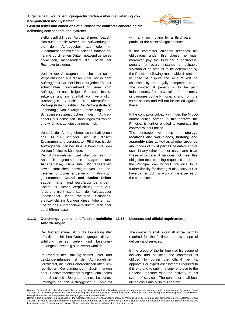

stellungspflicht des Auftragnehmers bezieht sich auch auf alle Kosten und Aufwendungen, die dem Auftraggeber aus oder im Zusammenhang mit einer solchen Inanspruchnahme durch einen Dritten notwendigerweise erwachsen, insbesondere die Kosten der Rechtsverteidigung.

Verletzt der Auftragnehmer schuldhaft seine Verpflichtungen aus dieser Ziffer, hat er dem Auftraggeber darüber hinaus für jeden Fall der schuldhaften Zuwiderhandlung eine vom Auftraggeber nach billigem Ermessen festzusetzende und im Streitfall vom verbindlich zuständigen Gericht zu überprüfende Vertragsstrafe zu zahlen. Die Vertragsstrafe ist unabhängig von etwaigen Freistellungs- und Schadensersatzansprüchen des Auftraggebers aus denselben Handlungen zu zahlen und wird nicht auf diese angerechnet.

Verstößt der Auftragnehmer schuldhaft gegen das MiLoG und/oder die in diesem Zusammenhang vereinbarten Pflichten, ist der Auftraggeber darüber hinaus berechtigt, den Vertrag fristlos zu kündigen.

Der Auftragnehmer wird die von ihm in Anspruch genommenen **Lager- und Arbeitsplätze, Bau- und Montagestellen**  sowie sämtlichen sonstigen von ihm betretenen und/oder anderweitig in Anspruch genommenen **Grund und Boden Dritter sauber halten** und **sorgfältig behandeln**. Kommt er dieser Verpflichtung trotz Aufforderung nicht nach, kann der Auftraggeber unbeschadet einer weiteren Schadensersatzpflicht im Übrigen diese Arbeiten auf Kosten des Auftragnehmers durchführen oder durchführen lassen.

## **11.13 Genehmigungen und öffentlich-rechtliche Anforderungen**

Der Auftragnehmer ist für die Einhaltung aller öffentlich-rechtlichen Genehmigungen, die zur Erfüllung seines Liefer- und Leistungsumfanges notwendig sind, verantwortlich.

Im Rahmen der Erfüllung seines Liefer- und Leistungsumfanges ist der Auftragnehmer verpflichtet, die hierfür erforderlichen öffentlichrechtlichen Genehmigungen, Zustimmungen oder Sachverständigenprüfungen einzuholen und diese mit Übergabe seines Leistungsumfanges an den Auftraggeber in Kopie zu with any such claim by a third party, in particular the costs of legal defence.

If the contractor culpably breaches his obligations under this clause he must moreover pay the Principal a contractual penalty for every instance of culpable violation of an amount to be determined by the Principal following reasonable discretion. In case of dispute the amount will be assessed by the legally competent court. The contractual penalty is to be paid independently from any claims for indemnity or damages by the Principal arising from the same actions and will not be set off against these.

If the contractor culpably infringes the MiLoG and/or duties agreed in this context, the Principal is further entitled to terminate the contract without notice.

The contractor will keep the **storage locations and workplaces, building and assembly sites** as well as all other **grounds and floors of third parties** he enters and/or uses in any other manner **clean and treat these with care**. If he does not meet this obligation despite being requested to do so, the Principal can without prejudice to a further liability for damages also carry out or have carried out this work at the expense of the contractor.

# **11.13 Licenses and official requirements**

The contractor shall obtain all official permits required for the fulfilment of his scope of delivery and services.

In the scope of the fulfilment of his scope of delivery and services, the contractor is obliged to obtain the official permits, approvals or expert assessments required to this end and to submit a copy of these to the Principal together with the delivery of his scope of services. The contractor shall bear all the costs arising in this context.

Hinweis: Es handelt sich hierbei um eine Übersetzung der "Allgemeinen Einkaufsbedingungen für Verträge über die Lieferung von Komponenten und Systemen", Stand 10/2018". Im Falle einer juristischen Auseinandersetzung zwischen der deutschen und der englischen Version gilt die Formulierung in deutscher Sprache als verbindlich.

Dies gilt ebenso bei der Interpretation der Bedingungen oder in anderen Fällen.<br>Remark: This document is a translation of the German Allgemeinen Einkaufsbedingungen für Verträge über die Lieferung von Komponenten und Syste 10/2018". In case of any legal controversy between the German and the English version, the formulation set forth in the German version shall prevail and is the only<br>binding document. This also applies in case of interpreta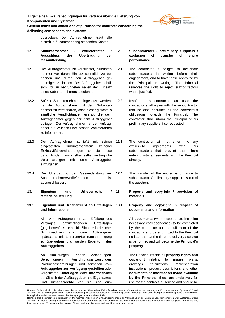

**General terms and conditions of purchase for contracts concerning the delivering components and systems**

|      | achvering components and systems                                                                                                                                                                                                                                                                                                                  |      |                                                                                                                                                                                                                                                                                                                                              |
|------|---------------------------------------------------------------------------------------------------------------------------------------------------------------------------------------------------------------------------------------------------------------------------------------------------------------------------------------------------|------|----------------------------------------------------------------------------------------------------------------------------------------------------------------------------------------------------------------------------------------------------------------------------------------------------------------------------------------------|
|      | übergeben. Der Auftragnehmer trägt alle<br>hiermit in Zusammenhang stehenden Kosten.                                                                                                                                                                                                                                                              |      |                                                                                                                                                                                                                                                                                                                                              |
| 12.  | <b>Subunternehmer</b><br>Vorlieferanten<br>$\prime$<br>1<br><b>Ausschluss</b><br>Übertragung<br>der<br>der<br>Gesamtleistung                                                                                                                                                                                                                      | 12.  | Subcontractors / preliminary suppliers /<br>exclusion<br>οf<br>transfer<br>οf<br>entire<br>performance                                                                                                                                                                                                                                       |
| 12.1 | Der Auftragnehmer ist verpflichtet, Subunter-<br>nehmer vor deren Einsatz schriftlich zu be-<br>nennen und durch den Auftraggeber ge-<br>nehmigen zu lassen. Der Auftraggeber behält<br>sich vor, in begründeten Fällen den Einsatz<br>eines Subunternehmers abzulehnen.                                                                          | 12.1 | The contractor is obliged to designate<br>writing<br>before<br>subcontractors<br>in<br>their<br>engagement, and to have these approved by<br>the Principal in writing.<br>The Principal<br>reserves the right to reject subcontractors<br>where justified.                                                                                   |
| 12.2 | Sofern Subunternehmer eingesetzt werden,<br>hat der Auftragnehmer mit dem Subunter-<br>nehmer zu vereinbaren, dass dieser gleichfalls<br>sämtliche Verpflichtungen einhält, die dem<br>Auftragnehmer gegenüber dem Auftraggeber<br>obliegen. Der Auftragnehmer hat den Auftrag-<br>geber auf Wunsch über dessen Vorlieferanten<br>zu informieren. | 12.2 | Insofar as subcontractors are used, the<br>contractor shall agree with the subcontractor<br>that he also assumes all the contractor's<br>obligations towards the Principal.<br>The<br>contractor shall inform the Principal of his<br>preliminary suppliers if so requested.                                                                 |
| 12.3 | Auftragnehmer<br>schließt<br>mit<br>seinen<br>Der<br>Subunternehmern<br>eingesetzten<br>keinerlei<br>Exklusivitätsvereinbarungen<br>ab,<br>die diese<br>daran hindern, unmittelbar selbst vertragliche<br>Vereinbarungen<br>mit<br>Auftraggeber<br>dem<br>einzugehen.                                                                             | 12.3 | The contractor will not enter into<br>any<br>exclusivity<br>with<br>his<br>agreements<br>subcontractors that prevent<br>them<br>from<br>entering into agreements with the Principal<br>directly.                                                                                                                                             |
| 12.4 | Die Übertragung der Gesamtleistung<br>auf<br>Subunternehmer/Vorlieferanten<br>ist<br>ausgeschlossen.                                                                                                                                                                                                                                              | 12.4 | The transfer of the entire performance to<br>subcontractors/preliminary suppliers is out of<br>the question.                                                                                                                                                                                                                                 |
| 13.  | Urheberrecht<br>Eigentum<br>und<br>I<br>Materialbeistellung                                                                                                                                                                                                                                                                                       | 13.  | Property and copyright / provision of<br>materials                                                                                                                                                                                                                                                                                           |
| 13.1 | Eigentum und Urheberrecht an Unterlagen<br>und Informationen                                                                                                                                                                                                                                                                                      | 13.1 | Property and copyright in respect of<br>documents and information                                                                                                                                                                                                                                                                            |
|      | Alle vom Auftragnehmer zur Erfüllung des<br>anzufertigenden<br>Unterlagen<br>Vertrages<br>(gegebenenfalls<br>einschließlich<br>erforderlicher<br>Schriftwechsel)<br>dem<br>Auftraggeber<br>sind<br>spätestens mit Lieferung/Leistungserbringung<br>zu übergeben und werden Eigentum des<br>Auftraggebers.                                         |      | All documents (where appropriate including<br>necessary correspondence) to be completed<br>by the contractor for the fulfilment of the<br>contract are to be submitted to the Principal<br>no later than at the time the delivery / service<br>is performed and will become the Principal's<br>property.                                     |
|      | An<br>Abbildungen,<br>Plänen,<br>Zeichnungen,<br>Berechnungen,<br>Ausführungsanweisungen,<br>Produktbeschreibungen und sonstigen vom<br>Auftraggeber zur Verfügung gestellten oder<br>vorgelegten Unterlagen oder Informationen<br>behält sich der Auftraggeber alle Eigentums-<br>und Urheberrechte vor;<br>sie sind<br>aus-                     |      | The Principal retains all property rights and<br>copyright<br>relating<br>to<br>images,<br>plans,<br>drawings,<br>calculations,<br>implementation<br>instructions, product descriptions and other<br>documents or information made available<br>by the Principal; these are exclusively for<br>use for the contractual service and should be |

Hinweis: Es handelt sich hierbei um eine Ubersetzung der "Allgemeinen Einkaufsbedingungen für Verträge über die Lieferung von Komponenten und Systemen", Stand<br>10/2018". Im Falle einer juristischen Auseinandersetzung zwisch

<sup>10/2018&</sup>quot;. In case of any legal controversy between the German and the English version, the formulation set forth in the German version shall prevail and is the only<br>binding document. This also applies in case of interpreta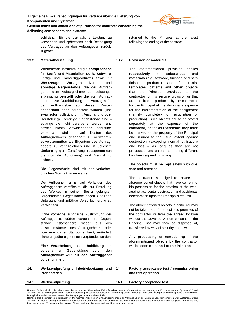

**General terms and conditions of purchase for contracts concerning the delivering components and systems**

> schließlich für die vertragliche Leistung zu verwenden und spätestens nach Beendigung des Vertrages an den Auftraggeber zurückzugeben.

# **13.2 Materialbeistellung**

Vorstehende Bestimmung gilt **entsprechend** für **Stoffe** und **Materialien** (z. B. Software, Fertig- und Halbfertigprodukte) sowie für **Werkzeuge**, **Vorlagen**, Muster und **sonstige Gegenstände**, die der Auftraggeber dem Auftragnehmer zur Leistungserbringung **beistellt** oder die vom Auftragnehmer zur Durchführung des Auftrages für den Auftraggeber auf dessen Kosten angeschafft oder hergestellt wurden (und zwar sofort vollständig mit Anschaffung oder Herstellung). Derartige Gegenstände sind – solange sie nicht verarbeitet werden und soweit nichts Abweichendes schriftlich vereinbart wird – auf Kosten des Auftragnehmers gesondert zu verwahren, soweit zumutbar als Eigentum des Auftraggebers zu kennzeichnen und in üblichem Umfang gegen Zerstörung (ausgenommen die normale Abnutzung) und Verlust zu sichern.

Die Gegenstände sind mit der verkehrsüblichen Sorgfalt zu verwahren.

Der Auftragnehmer ist auf Verlangen des Auftraggebers verpflichtet, die zur Erstellung des Werkes in seinen Besitz gelangten vorgenannten Gegenstände gegen zufälligen Untergang und zufällige Verschlechterung zu **versichern**.

Ohne vorherige schriftliche Zustimmung des Auftraggebers dürfen vorgenannte Gegenstände insbesondere weder aus den Geschäftsräumen des Auftragnehmers oder vom vereinbarten Standort entfernt, veräußert, sicherungsübereignet noch verpfändet werden.

Eine **Verarbeitung** oder **Umbildung** der vorgenannten Gegenstände durch den Auftragnehmer wird **für den Auftraggeber** vorgenommen.

- **14. Werksendprüfung / Inbetriebsetzung und Probebetrieb**
- **14.1 Werksendprüfung**

returned to the Principal at the latest following the ending of the contract.

## **13.2 Provision of materials**

The aforementioned provision applies **respectively** to **substances** and **materials** (e.g. software, finished and halffinished products) and for **tools**, **templates**, patterns and **other objects** that the Principal **provides** to the contractor for his service provision or that are acquired or produced by the contractor for the Principal at the Principal's expense for the implementation of the assignment (namely completely on acquisition or production). Such objects are to be stored separately at the expense of the contractor, as far as reasonable they must be marked as the property of the Principal and insured to the usual extent against destruction (excepting normal utilisation) and loss – as long as they are not processed and unless something different has been agreed in writing.

The objects must be kept safely with due care and attention.

The contractor is obliged to **insure** the aforementioned objects that have come into his possession for the creation of the work against accidental destruction and accidental deterioration upon the Principal's request.

The aforementioned objects in particular may not be taken out of the business premises of the contractor or from the agreed location without the advance written consent of the Principal, nor may they be disposed of, transferred by way of security nor pawned.

Any **processing** or **remodelling** of the aforementioned objects by the contractor will be done **on behalf of the Principal**.

#### **14. Factory acceptance test / commissioning and test operation**

**14.1 Factory acceptance test**

Hinweis: Es handelt sich hierbei um eine Übersetzung der "Allgemeinen Einkaufsbedingungen für Verträge über die Lieferung von Komponenten und Systemen", Stand 10/2018". Im Falle einer juristischen Auseinandersetzung zwischen der deutschen und der englischen Version gilt die Formulierung in deutscher Sprache als verbindlich.

Dies gilt ebenso bei der Interpretation der Bedingungen oder in anderen Fällen.<br>Remark: This document is a translation of the German Allgemeinen Einkaufsbedingungen für Verträge über die Lieferung von Komponenten und Syste 10/2018". In case of any legal controversy between the German and the English version, the formulation set forth in the German version shall prevail and is the only<br>binding document. This also applies in case of interpreta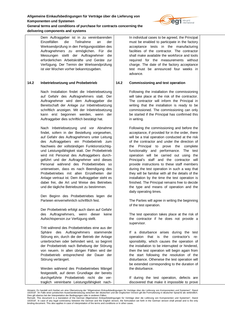

**General terms and conditions of purchase for contracts concerning the delivering components and systems**

> Dem Auftraggeber ist in zu vereinbarenden Einzelfällen die Teilnahme an der Werksendprüfung in den Fertigungsstätten des Auftragnehmers zu ermöglichen. Für die Messungen stellt der Auftragnehmer die erforderlichen Arbeitskräfte und Geräte zur Verfügung. Der Termin der Werksendprüfung ist vier Wochen vorher bekanntzugeben.

## **14.2 Inbetriebsetzung und Probebetrieb**

Nach Installation findet die Inbetriebsetzung auf Gefahr des Auftragnehmers statt. Der Auftragnehmer wird dem Auftraggeber die Bereitschaft der Anlage zur Inbetriebsetzung schriftlich anzeigen. Mit der Inbetriebsetzung kann erst begonnen werden, wenn der Auftraggeber dies schriftlich bestätigt hat.

Nach Inbetriebsetzung und vor Abnahme findet, sofern in der Bestellung vorgesehen, auf Gefahr des Auftragnehmers unter Leitung des Auftraggebers ein Probebetrieb zum Nachweis der vollständigen Funktionstüchtigund Leistungsfähigkeit statt. Der Probebetrieb wird mit Personal des Auftraggebers durchgeführt und der Auftragnehmer wird dieses Personal während des Probebetriebes so unterweisen, dass es nach Beendigung des Probebetriebes mit allen Einzelheiten der Anlage vertraut ist. Dem Auftraggeber steht es dabei frei, die Art und Weise des Betriebes und die tägliche Betriebszeit zu bestimmen.

Den Beginn des Probebetriebes legen die Parteien einvernehmlich schriftlich fest.

Der Probebetrieb erfolgt auch dann auf Gefahr des Auftragnehmers, wenn dieser keine Aufsichtsperson zur Verfügung stellt.

Tritt während des Probebetriebes eine aus der Sphäre des Auftragnehmers stammende Störung ein, durch die der Betrieb der Anlage unterbrochen oder behindert wird, so beginnt der Probebetrieb nach Behebung der Störung von neuem. In allen übrigen Fällen wird der Probebetrieb entsprechend der Dauer der Störung verlängert.

Werden während des Probebetriebes Mängel festgestellt, auf deren Grundlage der bereits durchgeführte Probebetrieb nicht die vertraglich vereinbarte Leistungsfähigkeit nachIn individual cases to be agreed, the Principal must be enabled to participate in the factory acceptance tests in the manufacturing facilities of the contractor. The contractor shall make available the workforce and tools required for the measurements without charge. The date of the factory acceptance test must be announced four weeks in advance.

## **14.2 Commissioning and test operation**

Following the installation the commissioning will take place at the risk of the contractor. The contractor will inform the Principal in writing that the installation is ready to be commissioned. The commissioning can only be started if the Principal has confirmed this in writing.

Following the commissioning and before the acceptance, if provided for in the order, there will be a trial operation conducted at the risk of the contractor and under the direction of the Principal to prove the complete functionality and performance. The test operation will be carried out using the Principal's staff and the contractor will provide instructions to these staff members during the test operation in such a way that they will be familiar with all the details of the installation by the time the test operation is finished. The Principal remains free to decide the type and means of operation and the daily operating times.

The Parties will agree in writing the beginning of the test operation.

The test operation takes place at the risk of the contractor if he does not provide a supervisor.

If a disturbance arises during the test operation that is the contractor's responsibility, which causes the operation of the installation to be interrupted or hindered, then the test operation will begin again from the start following the resolution of the disturbance. Otherwise the test operation will be extended corresponding to the duration of the disturbance.

If during the test operation, defects are discovered that make it impossible to prove

Hinweis: Es handelt sich hierbei um eine Übersetzung der "Allgemeinen Einkaufsbedingungen für Verträge über die Lieferung von Komponenten und Systemen", Stand 10/2018". Im Falle einer juristischen Auseinandersetzung zwischen der deutschen und der englischen Version gilt die Formulierung in deutscher Sprache als verbindlich.

Dies gilt ebenso bei der Interpretation der Bedingungen oder in anderen Fällen.<br>Remark: This document is a translation of the German Allgemeinen Einkaufsbedingungen für Verträge über die Lieferung von Komponenten und Syste 10/2018". In case of any legal controversy between the German and the English version, the formulation set forth in the German version shall prevail and is the only<br>binding document. This also applies in case of interpreta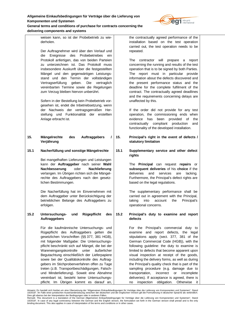

weisen kann, so ist der Probebetrieb zu wiederholen.

Der Auftragnehmer wird über den Verlauf und die Ereignisse des Probebetriebes ein Protokoll anfertigen, das von beiden Parteien zu unterzeichnen ist. Das Protokoll muss insbesondere Auskunft über die festgestellten Mängel und den gegenwärtigen Leistungsstand und den Termin der vollständigen Vertragserfüllung geben. Die vertraglich vereinbarten Termine sowie die Regelungen zum Verzug bleiben hiervon unberührt.

Sofern in der Bestellung kein Probebetrieb vorgesehen ist, endet die Inbetriebsetzung, wenn der Nachweis der vertragsgemäßen Herstellung und Funktionalität der erstellten Anlage erbracht ist.

**15. Mängelrechte des Auftraggebers / Verjährung**

# **15.1 Nacherfüllung und sonstige Mängelrechte**

Bei mangelhaften Lieferungen und Leistungen kann der **Auftraggeber** nach seiner **Wahl Nachbesserung** oder **Nachlieferung** verlangen. Im Übrigen richten sich die Mängelrechte des Auftraggebers nach den gesetzlichen Bestimmungen.

Die Nacherfüllung hat im Einvernehmen mit dem Auftraggeber unter Berücksichtigung der betrieblichen Belange des Auftraggebers zu erfolgen.

# **15.2 Untersuchungs- und Rügepflicht des Auftraggebers**

Für die kaufmännische Untersuchungs- und Rügepflicht des Auftraggebers gelten die gesetzlichen Vorschriften (§§ 377, 381 HGB), mit folgender Maßgabe: Die Untersuchungspflicht beschränkt sich auf Mängel, die bei der Wareneingangskontrolle unter äußerlicher Begutachtung einschließlich der Lieferpapiere sowie bei der Qualitätskontrolle des Auftraggebers im Stichprobenverfahren offen zu Tage treten (z.B. Transportbeschädigungen, Falschund Minderlieferung). Soweit eine Abnahme vereinbart ist, besteht keine Untersuchungspflicht. Im Übrigen kommt es darauf an,

the contractually agreed performance of the installation based on the test operation carried out, the test operation needs to be repeated.

The contractor will prepare a report concerning the running and results of the test operation that is to be signed by both Parties. The report must in particular provide information about the defects discovered and the present performance status and the deadline for the complete fulfilment of the contract. The contractually agreed deadlines and the requirements concerning delays are unaffected by this.

If the order did not provide for any test operation, the commissioning ends when evidence has been provided of the contractually compliant production and functionality of the developed installation.

- **15. Principal's right in the event of defects / statutory limitation**
- **15.1 Supplementary service and other defect rights**

The **Principal** can request **repairs** or **subsequent deliveries** of his **choice** if the deliveries and services are lacking. Furthermore, the Principal's defect rights are based on the legal regulations.

The supplementary performance shall be carried out in agreement with the Principal, taking into account the Principal's operational concerns.

**15.2 Principal's duty to examine and report defects**

> For the Principal's commercial duty to examine and report defects, the legal stipulations apply (sect. 377, 381 of the German Commercial Code (HGB)), with the following guideline: the duty to examine is limited to defects that become apparent upon visual inspection at receipt of the goods, including the delivery forms, as well as during the Principal's quality check that is part of the sampling procedure (e.g. damage due to transportation, incorrect or incomplete deliveries). If acceptance is agreed, there is no inspection obligation. Otherwise it

Hinweis: Es handelt sich hierbei um eine Übersetzung der "Allgemeinen Einkaufsbedingungen für Verträge über die Lieferung von Komponenten und Systemen", Stand 10/2018". Im Falle einer juristischen Auseinandersetzung zwischen der deutschen und der englischen Version gilt die Formulierung in deutscher Sprache als verbindlich.

Dies gilt ebenso bei der Interpretation der Bedingungen oder in anderen Fällen.<br>Remark: This document is a translation of the German Allgemeinen Einkaufsbedingungen für Verträge über die Lieferung von Komponenten und Syste 10/2018". In case of any legal controversy between the German and the English version, the formulation set forth in the German version shall prevail and is the only<br>binding document. This also applies in case of interpreta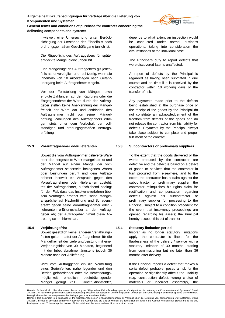

**General terms and conditions of purchase for contracts concerning the delivering components and systems**

> inwieweit eine Untersuchung unter Berücksichtigung der Umstände des Einzelfalls nach ordnungsgemäßem Geschäftsgang tunlich ist.

> Die Rügepflicht des Auftraggebers für später entdeckte Mängel bleibt unberührt.

> Eine Mängelrüge des Auftraggebers gilt jedenfalls als unverzüglich und rechtzeitig, wenn sie innerhalb von 10 Arbeitstagen nach Gefahrübergang beim Auftragnehmer eingeht.

Vor der Feststellung von Mängeln etwa erfolgte Zahlungen auf den Kaufpreis oder die Entgegennahme der Ware durch den Auftraggeber stellen keine Anerkennung der Mängelfreiheit der Ware dar und entbinden den Auftragnehmer nicht von seiner Mängelhaftung. Zahlungen des Auftraggebers erfolgen stets unter dem Vorbehalt der vollständigen und ordnungsgemäßen Vertragserfüllung.

# **15.3 Vorauftragnehmer oder-lieferanten**

Soweit die vom Auftragnehmer gelieferte Ware oder das hergestellte Werk mangelhaft ist und der Mangel auf einem Mangel der vom Auftragnehmer seinerseits bezogenen Waren oder Leistungen beruht und dem Auftragnehmer insoweit ein Anspruch gegen den Vorauftragnehmer oder -lieferanten zusteht, tritt der Auftragnehmer, aufschiebend bedingt für den Fall, dass das Insolvenzverfahren über sein Vermögen eröffnet wird, seine Mängelansprüche auf Nacherfüllung und Schadensersatz gegen seine Vorauftragnehmer oder lieferanten erfüllungshalber an den Auftraggeber ab; der Auftraggeber nimmt diese Abtretung schon hiermit an.

# **15.4 Verjährungsfrist**

Soweit gesetzlich keine längeren Verjährungsfristen gelten, haftet der Auftragnehmer für die Mängelfreiheit der Lieferung/Leistung mit einer Verjährungsfrist von 30 Monaten, beginnend mit der Inbetriebnahme längstens jedoch 36 Monate nach der Ablieferung.

Wird vom Auftraggeber ein die Vermutung eines Serienfehlers nahe legender und den Betrieb gefährdender oder die Verwendungsmöglichkeit erheblich beeinträchtigender Mangel gerügt (z.B. Konstruktionsfehler,

depends to what extent an inspection would be conducted under normal business operations, taking into consideration the circumstances of the individual case.

The Principal's duty to report defects that were discovered later is unaffected.

A report of defects by the Principal is regarded as having been submitted in due course and on time if it is received by the contractor within 10 working days of the transfer of risk.

Any payments made prior to the defects being established at the purchase price or the receipt of the goods by the Principal do not constitute an acknowledgement of the freedom from defects of the goods and do not release the contractor from his liability for defects. Payments by the Principal always take place subject to complete and proper fulfilment of the contract.

# **15.3 Subcontractors or preliminary suppliers**

To the extent that the goods delivered or the works produced by the contractor are defective and the defect is based on a defect of goods or services that the contractor in turn procured from elsewhere, and to the extent the contractor has a claim against the subcontractor or preliminary supplier, the contractor relinquishes his rights claim for rectification and compensation regarding defects against his subcontractor or preliminary supplier for processing to the Principal, subject to a condition precedent for the event that insolvency proceedings are opened regarding his assets; the Principal hereby accepts this act of transfer.

# **15.4 Statutory limitation period**

Insofar as no longer statutory limitations apply, the contractor is liable for the flawlessness of the delivery / service with a statutory limitation of 30 months, starting from commissioning but no later than 36 months after delivery.

If the Principal reports a defect that makes a serial defect probable, poses a risk for the operation or significantly affects the usability (e.g. construction defect, wrong choice of materials or incorrect assembly), the

Hinweis: Es handelt sich hierbei um eine Übersetzung der "Allgemeinen Einkaufsbedingungen für Verträge über die Lieferung von Komponenten und Systemen", Stand 10/2018". Im Falle einer juristischen Auseinandersetzung zwischen der deutschen und der englischen Version gilt die Formulierung in deutscher Sprache als verbindlich.

Dies gilt ebenso bei der Interpretation der Bedingungen oder in anderen Fällen.<br>Remark: This document is a translation of the German Allgemeinen Einkaufsbedingungen für Verträge über die Lieferung von Komponenten und Syste 10/2018". In case of any legal controversy between the German and the English version, the formulation set forth in the German version shall prevail and is the only<br>binding document. This also applies in case of interpreta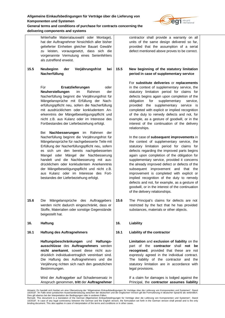

# **General terms and conditions of purchase for contracts concerning the delivering components and systems**

|      | achvchig components and systems                                                                                                                                                                                                                                                                                                                                                                                                                                       |      |                                                                                                                                                                                                                                                                                                                                                                                                                                                                                                                                                                                                               |
|------|-----------------------------------------------------------------------------------------------------------------------------------------------------------------------------------------------------------------------------------------------------------------------------------------------------------------------------------------------------------------------------------------------------------------------------------------------------------------------|------|---------------------------------------------------------------------------------------------------------------------------------------------------------------------------------------------------------------------------------------------------------------------------------------------------------------------------------------------------------------------------------------------------------------------------------------------------------------------------------------------------------------------------------------------------------------------------------------------------------------|
|      | fehlerhafte Materialauswahl oder Montage),<br>hat der Auftragnehmer hinsichtlich aller bisher<br>gelieferter Einheiten gleicher Bauart Gewähr<br>zu leisten, vorausgesetzt, dass sich die<br>vorgenannte Vermutung eines Serienfehlers<br>als zutreffend erweist.                                                                                                                                                                                                     |      | contractor shall provide a warranty on all<br>units of the same design delivered so far,<br>provided that the assumption of a serial<br>defect mentioned above proves to be correct.                                                                                                                                                                                                                                                                                                                                                                                                                          |
| 15.5 | Neubeginn<br>Verjährungsfrist<br>der<br>bei<br>Nacherfüllung                                                                                                                                                                                                                                                                                                                                                                                                          | 15.5 | New beginning of the statutory limitation<br>period in case of supplementary service                                                                                                                                                                                                                                                                                                                                                                                                                                                                                                                          |
|      | Für<br>Ersatzlieferungen<br>oder<br>Neuherstellungen<br>im<br>Rahmen<br>der<br>Nacherfüllung beginnt die Verjährungsfrist für<br>Mängelansprüche mit Erfüllung der Nach-<br>erfüllungspflicht neu, sofern die Nacherfüllung<br>mit ausdrücklichem oder konkludentem An-<br>erkenntnis der Mängelbeseitigungspflicht und<br>nicht z.B. aus Kulanz oder im Interesse des<br>Fortbestandes der Lieferbeziehung erfolgt.<br>Bei<br>Nachbesserungen<br>im<br>Rahmen<br>der |      | For substitute deliveries or replacements<br>in the context of supplementary service, the<br>statutory limitation period for claims for<br>defects begins again upon completion of the<br>obligation<br>for<br>supplementary<br>service,<br>supplementary service is<br>provided<br>the<br>completed with explicit or implied recognition<br>of the duty to remedy defects and not, for<br>example, as a gesture of goodwill, or in the<br>interest of the continuation of the delivery<br>relationships.                                                                                                     |
|      | Nacherfüllung beginnt die Verjährungsfrist für<br>Mängelansprüche für nachgebesserte Teile mit<br>Erfüllung der Nacherfüllungspflicht neu, sofern<br>es sich um den bereits nachgebesserten<br>Mangel oder Mängel der Nachbesserung<br>handelt und die Nachbesserung mit aus-<br>drücklichem oder konkludentem Anerkenntnis<br>der Mängelbeseitigungspflicht und nicht z.B.<br>aus Kulanz oder im Interesse des Fort-<br>bestandes der Lieferbeziehung erfolgt.       |      | In the case of subsequent improvements in<br>the context of supplementary service, the<br>statutory limitation period for claims for<br>defects regarding the improved parts begins<br>again upon completion of the obligation for<br>supplementary service, provided it concerns<br>the already improved defect or defects of the<br>subsequent improvement<br>and that the<br>improvement is completed with explicit or<br>implied recognition of the duty to remedy<br>defects and not, for example, as a gesture of<br>goodwill, or in the interest of the continuation<br>of the delivery relationships. |
| 15.6 | Mängelansprüche des Auftraggebers<br>Die<br>werden nicht dadurch eingeschränkt, dass er<br>Stoffe, Materialien oder sonstige Gegenstände<br>beigestellt hat.                                                                                                                                                                                                                                                                                                          | 15.6 | The Principal's claims for defects are not<br>restricted by the fact that he has provided<br>substances, materials or other objects.                                                                                                                                                                                                                                                                                                                                                                                                                                                                          |
| 16.  | <b>Haftung</b>                                                                                                                                                                                                                                                                                                                                                                                                                                                        | 16.  | Liability                                                                                                                                                                                                                                                                                                                                                                                                                                                                                                                                                                                                     |
| 16.1 | <b>Haftung des Auftragnehmers</b>                                                                                                                                                                                                                                                                                                                                                                                                                                     | 16.1 | Liability of the contractor                                                                                                                                                                                                                                                                                                                                                                                                                                                                                                                                                                                   |
|      | Haftungsbeschränkungen und Haftungs-<br>ausschlüsse des Auftragnehmers werden<br>nicht anerkannt, soweit diese nicht aus-<br>drücklich individualvertraglich vereinbart sind.<br>Die Haftung des Auftragnehmers und die<br>Verjährung richten sich nach den gesetzlichen<br>Bestimmungen.                                                                                                                                                                             |      | Limitation and exclusion of liability on the<br>part of the contractor shall not<br>be<br>recognised, provided that these are not<br>expressly agreed in the individual contract.<br>The liability of the contractor and the<br>statutory limitation are in accordance with<br>legal provisions.                                                                                                                                                                                                                                                                                                              |
|      | Wird der Auftraggeber auf Schadensersatz in<br>Anspruch genommen, tritt der Auftragnehmer                                                                                                                                                                                                                                                                                                                                                                             |      | If a claim for damages is lodged against the<br>Principal, the contractor assumes liability                                                                                                                                                                                                                                                                                                                                                                                                                                                                                                                   |

Hinweis: Es handelt sich hierbei um eine Ubersetzung der "Allgemeinen Einkaufsbedingungen für Verträge über die Lieferung von Komponenten und Systemen", Stand<br>10/2018". Im Falle einer juristischen Auseinandersetzung zwisch

<sup>10/2018&</sup>quot;. In case of any legal controversy between the German and the English version, the formulation set forth in the German version shall prevail and is the only<br>binding document. This also applies in case of interpreta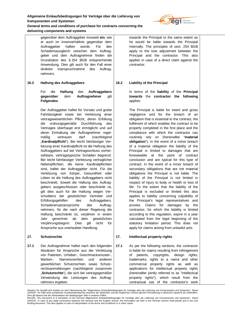

**delivering components and systems**

gegenüber dem Auftraggeber insoweit **ein**, wie er auch im Innenverhältnis gegenüber dem Auftraggeber haften würde. Für den Schadensausgleich zwischen dem Auftraggeber und dem Auftragnehmer finden die Grundsätze des § 254 BGB entsprechende Anwendung. Dies gilt auch für den Fall einer direkten Inanspruchnahme des Auftragnehmers.

# **16.2 Haftung des Auftraggebers**

# Für die **Haftung** des **Auftraggebers gegenüber** dem **Auftragnehmer** gilt **Folgendes**:

Der Auftraggeber haftet für Vorsatz und grobe Fahrlässigkeit sowie bei Verletzung einer vertragswesentlichen Pflicht, deren Erfüllung die ordnungsgemäße Durchführung des Vertrages überhaupt erst ermöglicht und auf deren Einhaltung der Auftragnehmer regelmäßig vertrauen darf (nachfolgend "Kardinalpflicht"). Bei leicht fahrlässiger Verletzung einer Kardinalpflicht ist die Haftung des Auftraggebers auf bei Vertragsschluss vorhersehbare, vertragstypische Schäden begrenzt. Bei leicht fahrlässiger Verletzung vertraglicher Nebenpflichten, die keine Kardinalpflichten sind, haftet der Auftraggeber nicht. Für die Verletzung von Körper, Gesundheit oder Leben ist die Haftung des Auftraggebers nicht beschränkt. Soweit die Haftung des Auftraggebers ausgeschlossen oder beschränkt ist, gilt dies auch für die Haftung wegen Verschuldens der gesetzlichen Vertreter und Erfüllungsgehilfen des Auftraggebers. Schadenersatzansprüche des Auftragnehmers, für die nach dieser Regelung die Haftung beschränkt ist, verjähren in einem Jahr gerechnet ab dem gesetzlichen Verjährungsbeginn. Dies gilt nicht für Ansprüche aus unerlaubter Handlung.

# **17. Schutzrechte**

**17.1** Der Auftragnehmer haftet nach den folgenden Absätzen für Ansprüche aus der Verletzung von Patenten, Urheber-, Geschmacksmuster-, Marken-, Namensrechten und anderen gewerblichen Schutzrechten sowie Schutzrechtsanmeldungen (nachfolgend zusammen "**Schutzrechte**"), die sich bei vertragsgemäßer Verwendung der Leistungen des Auftragnehmers ergeben.

towards the Principal to the same extent as he would be liable towards the Principal internally. The principles of sect. 254 BGB apply to the loss adjustment between the Principal and the contractor. This also applies in case of a direct claim against the contractor.

# **16.2 Liability of the Principal**

In terms of the **liability** of the **Principal towards** the **contractor the following** applies:

The Principal is liable for intent and gross negligence and for the breach of an obligation that is essential to the contract, the fulfilment of which enables the contract to be properly completed in the first place and the compliance with which the contractor can routinely rely on (hereinafter "**material obligation**"). In the event of a minor breach of a material obligation the liability of the Principal is limited to damages that are foreseeable at the point of contract conclusion and are typical for this type of contract. In the event of a minor breach of secondary obligations that are not material obligations the Principal is not liable. The liability of the Principal is not limited in respect of injury to body or health or loss of life. To the extent that the liability of the Principal is excluded or limited this also applies to liability concerning culpability of the Principal's legal representatives and proxies. Claims for damages by the contractor, for which the liability is limited according to this regulation, expire in a year calculated from the legal beginning of the statutory limitation period. This does not apply for claims arising from unlawful acts.

# **17. Intellectual property rights**

**17.1** As per the following sections, the contractor is liable for claims resulting from infringement of patents, copyrights, design rights, trademarks, rights to a name and other commercial property rights as well as applications for intellectual property rights (hereinafter jointly referred to as "intellectual property rights"), which result from the contractual use of the contractor's work

Hinweis: Es handelt sich hierbei um eine Übersetzung der "Allgemeinen Einkaufsbedingungen für Verträge über die Lieferung von Komponenten und Systemen", Stand 10/2018". Im Falle einer juristischen Auseinandersetzung zwischen der deutschen und der englischen Version gilt die Formulierung in deutscher Sprache als verbindlich.

Dies gilt ebenso bei der Interpretation der Bedingungen oder in anderen Fällen.<br>Remark: This document is a translation of the German Allgemeinen Einkaufsbedingungen für Verträge über die Lieferung von Komponenten und Syste 10/2018". In case of any legal controversy between the German and the English version, the formulation set forth in the German version shall prevail and is the only<br>binding document. This also applies in case of interpreta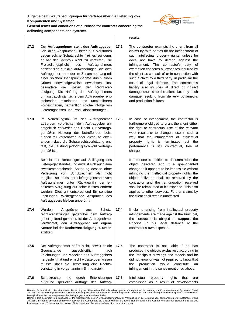

**delivering components and systems**

- **17.2** Der **Auftragnehmer stellt** den **Auftraggeber** von allen Ansprüchen Dritter aus Verstößen gegen solche Schutzrechte **frei**, es sei denn, er hat den Verstoß nicht zu vertreten. Die Freistellungspflicht des Auftragnehmers bezieht sich auf alle Aufwendungen, die dem Auftraggeber aus oder im Zusammenhang mit einer solchen Inanspruchnahme durch einen Dritten notwendigerweise erwachsen, insbesondere die Kosten der Rechtsverteidigung. Die Haftung des Auftragnehmers umfasst auch sämtliche dem Auftraggeber entstehenden mittelbaren und unmittelbaren Folgeschäden, namentlich solche infolge von Lieferengpässen und Produktionsstörungen.
- **17.3** Im Verletzungsfall ist der Auftragnehmer außerdem verpflichtet, dem Auftraggeber unentgeltlich entweder das Recht zur vertragsgemäßen Nutzung der betreffenden Leistungen zu verschaffen oder diese so abzuändern, dass die Schutzrechtsverletzung entfällt, die Leistung jedoch gleichwohl vertragsgemäß ist.

Besteht der Berechtigte auf Stilllegung des Liefergegenstandes und erweist sich auch eine zweckentsprechende Änderung dessen ohne Verletzung von Schutzrechten als nicht möglich, so muss der Liefergegenstand vom Auftragnehmer unter Rückgewähr der erhaltenen Vergütung auf seine Kosten entfernt werden. Dies gilt entsprechend für sonstige Leistungen. Weitergehende Ansprüche des Auftraggebers bleiben unberührt.

- **17.4** Werden Ansprüche aus Schutzrechtsverletzungen gegenüber dem Auftraggeber geltend gemacht, ist der Auftragnehmer verpflichtet, den Auftraggeber auf **eigene Kosten** bei der **Rechtsverteidigung** zu **unterstützen**.
- **17.5** Der Auftragnehmer haftet nicht, soweit er die Gegenstände ausschließlich nach Zeichnungen und Modellen des Auftraggebers hergestellt hat und er nicht wusste oder wissen musste, dass die Herstellung eine Rechtsverletzung in vorgenanntem Sinn darstellt.

results.

- **17.2** The **contractor** exempts the **client** from all claims by third parties for the infringement of such intellectual property rights, unless he does not have to defend against the infringement. The contractor's duty of exemption concerns all expenses incurred by the client as a result of or in connection with such a claim by a third party, in particular the costs of legal defence. The contractor's liability also includes all direct or indirect damage caused to the client, i.e. any such damage resulting from delivery bottlenecks and production failures.
- **17.3** In case of infringement, the contractor is furthermore obliged to grant the client either the right to contractual use of the relevant work results or to change these in such a way that the infringement of intellectual property rights is terminated but the performance is still contractual, free of charge.

If someone is entitled to decommission the object delivered and if a goal-oriented change to it appears to be impossible without infringing the intellectual property rights, the object delivered shall be removed by the contractor and the remuneration received shall be reimbursed at his expense. This also applies to other services. Further claims by the client shall remain unaffected.

- **17.4** If claims arising from intellectual property infringements are made against the Principal, the contractor is obliged to **support** the Principal in his **legal defence** at the contractor's **own** expense.
- **17.5** The contractor is not liable if he has produced the objects exclusively according to the Principal's drawings and models and he did not know or was not required to know that the production would constitute an infringement in the sense mentioned above.
- **17.6** Schutzrechte, die durch Entwicklungen aufgrund spezieller Aufträge des Auftrag-**17.6** Intellectual property rights that are established as a result of developments

Hinweis: Es handelt sich hierbei um eine Ubersetzung der "Allgemeinen Einkaufsbedingungen für Verträge über die Lieferung von Komponenten und Systemen", Stand<br>10/2018". Im Falle einer juristischen Auseinandersetzung zwisch

Dies gilt ebenso bei der Interpretation der Bedingungen oder in anderen Fällen.<br>Remark: This document is a translation of the German Allgemeinen Einkaufsbedingungen für Verträge über die Lieferung von Komponenten und Syste 10/2018". In case of any legal controversy between the German and the English version, the formulation set forth in the German version shall prevail and is the only<br>binding document. This also applies in case of interpreta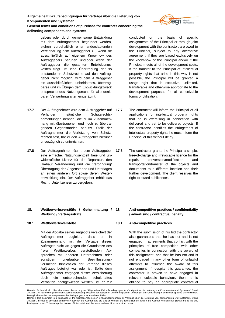

# **delivering components and systems**

gebers oder durch gemeinsame Entwicklung mit dem Auftragnehmer begründet werden, stehen vorbehaltlich einer anderslautenden Vereinbarung dem Auftraggeber zu, wenn sie ausschließlich auf eigenem Know-how des Auftraggebers beruhen und/oder wenn der Auftraggeber die gesamten Entwicklungskosten trägt. Ist eine Übertragung der so entstandenen Schutzrechte auf den Auftraggeber nicht möglich, wird dem Auftraggeber ein ausschließliches, unbefristetes, übertragbares und im Übrigen dem Entwicklungszweck entsprechendes Nutzungsrecht für alle denkbaren Verwertungsarten eingeräumt.

- **17.7** Der Auftragnehmer wird dem Auftraggeber auf Verlangen sämtliche Schutzrechtsanmeldungen nennen, die er im Zusammenhang mit übertragenen und noch zu übertragenden Gegenständen benutzt. Stellt der Auftragnehmer die Verletzung von Schutzrechten fest, hat er den Auftraggeber hierüber unverzüglich zu unterrichten.
- **17.8** Der Auftragnehmer räumt dem Auftraggeber eine einfache, Nutzungsentgelt freie und unwiderrufliche Lizenz für die Reparatur, den Umbau/ Veränderung und die Verbringung/ Übertragung der Gegenstände und Unterlagen an einen anderen Ort sowie deren Weiterentwicklung ein. Der Auftraggeber erhält das Recht, Unterlizenzen zu vergeben.

# **18. Wettbewerbsverstöße / Geheimhaltung / Werbung / Vertragsstrafe**

# **18.1 Wettbewerbsverstöße**

Mit der Abgabe seines Angebots versichert der Auftragnehmer zugleich, dass er in Zusammenhang mit der Vergabe dieses Auftrages nicht an gegen die Grundsätze des freien Wettbewerbes verstoßenden Absprachen mit anderen Unternehmen oder sonstigen unerlaubten Beeinflussungsversuchen hinsichtlich der Vergabe dieses Auftrages beteiligt war oder ist. Sollte dem Auftragnehmer entgegen dieser Versicherung doch ein entsprechendes schuldhaftes Verhalten nachgewiesen werden, ist er zur conducted on the basis of specific assignments of the Principal or through joint development with the contractor, are owed to the Principal, subject to any alternative agreement, if they are based exclusively on the know-how of the Principal and/or if the Principal meets all of the development costs. If the transfer to the Principal of intellectual property rights that arise in this way is not possible, the Principal will be granted a usage right that is exclusive, unlimited, transferable and otherwise appropriate to the development purposes for all conceivable forms of utilisation.

- **17.7** The contractor will inform the Principal of all applications for intellectual property rights that he is exercising in connection with delivered and yet to be delivered objects. If the contractor identifies the infringement of intellectual property rights he must inform the Principal of this without delay.
- **17.8** The contractor grants the Principal a simple, free-of-charge and irrevocable licence for the repair, conversion/modification and transportation/transfer of the objects and documents to a different location and their further development. The client reserves the right to award sublicences.

# **18. Anti-competitive practices / confidentiality / advertising / contractual penalty**

# **18.1 Anti-competitive practices**

With the submission of his bid the contractor also guarantees that he has not and is not engaged in agreements that conflict with the principles of free competition with other companies in connection with the award of this assignment, and that he has not and is not engaged in any other form of unlawful attempts to influence the award of this assignment. If, despite this guarantee, the contractor is proven to have engaged in relevant culpable behaviour, then he is obliged to pay an appropriate contractual

Hinweis: Es handelt sich hierbei um eine Übersetzung der "Allgemeinen Einkaufsbedingungen für Verträge über die Lieferung von Komponenten und Systemen", Stand 10/2018". Im Falle einer juristischen Auseinandersetzung zwischen der deutschen und der englischen Version gilt die Formulierung in deutscher Sprache als verbindlich.

Dies gilt ebenso bei der Interpretation der Bedingungen oder in anderen Fällen.<br>Remark: This document is a translation of the German Allgemeinen Einkaufsbedingungen für Verträge über die Lieferung von Komponenten und Syste 10/2018". In case of any legal controversy between the German and the English version, the formulation set forth in the German version shall prevail and is the only<br>binding document. This also applies in case of interpreta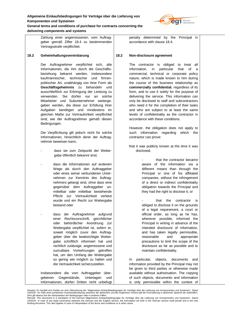

**General terms and conditions of purchase for contracts concerning the delivering components and systems**

> Zahlung einer angemessenen, vom Auftraggeber gemäß Ziffer 18.4 zu bestimmenden Vertragsstrafe verpflichtet.

# **18.2 Geheimhaltungsvereinbarung**

Der Auftragnehmer verpflichtet sich, alle Informationen, die ihm durch die Geschäftsbeziehung bekannt werden, insbesondere kaufmännischer, technischer und firmenpolitischer Art, unabhängig von ihrer Form als **Geschäftsgeheimnis** zu behandeln und ausschließlich zur Erbringung der Leistung zu verwenden. Sie dürfen nur an solche Mitarbeiter und Subunternehmer weitergegeben werden, die diese zur Erfüllung ihrer Aufgaben benötigen und mindestens im gleichen Maße zur Vertraulichkeit verpflichtet sind, wie der Auftragnehmer gemäß diesen Bedingungen.

Die Verpflichtung gilt jedoch nicht für solche Informationen, hinsichtlich derer der Auftragnehmer beweisen kann,

- dass sie zum Zeitpunkt der Weitergabe öffentlich bekannt sind,
- dass die Informationen auf anderem Wege als durch den Auftraggeber oder eines seiner verbundenen Unternehmen zur Kenntnis des Auftragnehmers gelangt sind, ohne dass eine gegenüber dem Auftraggeber unmittelbar oder mittelbar bestehende Pflicht zur Vertraulichkeit verletzt wurde und ein Recht zur Weitergabe bestand oder

dass der Auftragnehmer aufgrund einer Rechtsvorschrift, gerichtlicher oder behördlicher Anordnung zur Weitergabe verpflichtet ist, sofern er, soweit möglich zuvor den Auftraggeber über die beabsichtigte Weitergabe schriftlich informiert hat und rechtlich zulässige, angemessene und zumutbare Vorkehrungen getroffen hat, um den Umfang der Weitergabe so gering wie möglich zu halten und die Vertraulichkeit sicherzustellen.

Insbesondere die vom Auftraggeber übergebenen Gegenstände, Unterlagen und Informationen, dürfen Dritten nicht unbefugt penalty determined by the Principal in accordance with clause 18.4.

# **18.2 Non-disclosure agreement**

The contractor is obliged to treat all information, in particular that of a commercial, technical or corporate policy nature, which is made known to him during the course of the business relationship as **commercially confidential**, regardless of its form, and to use it solely for the purpose of delivering the service. This information can only be disclosed to staff and subcontractors who need it for the completion of their tasks and who are subject to at least the same levels of confidentiality as the contractor in accordance with these conditions.

However, the obligation does not apply to such information regarding which the contractor can prove:

that it was publicly known at the time it was disclosed,

> that the contractor became aware of the information via a different means than through the Principal or one of his affiliated companies, without the infringement of a direct or indirect confidentiality obligation towards the Principal and they had the right to disclose it, or

> that the contractor is obliged to disclose it on the grounds of a legal requirement, a court or official order, as long as he has, wherever possible, informed the Principal in writing in advance of the intended disclosure of information, and has taken legally permissible, reasonable and appropriate precautions to limit the scope of the disclosure as far as possible and to maintain confidentiality.

In particular, objects, documents and information provided by the Principal may not be given to third parties or otherwise made available without authorisation. The copying of such objects, documents and information is only permissible within the context of

Hinweis: Es handelt sich hierbei um eine Übersetzung der "Allgemeinen Einkaufsbedingungen für Verträge über die Lieferung von Komponenten und Systemen", Stand 10/2018". Im Falle einer juristischen Auseinandersetzung zwischen der deutschen und der englischen Version gilt die Formulierung in deutscher Sprache als verbindlich.

Dies gilt ebenso bei der Interpretation der Bedingungen oder in anderen Fällen.<br>Remark: This document is a translation of the German Allgemeinen Einkaufsbedingungen für Verträge über die Lieferung von Komponenten und Syste 10/2018". In case of any legal controversy between the German and the English version, the formulation set forth in the German version shall prevail and is the only<br>binding document. This also applies in case of interpreta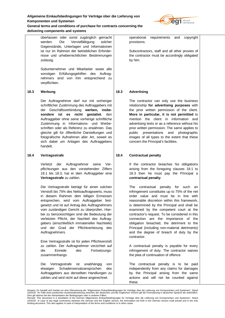

**General terms and conditions of purchase for contracts concerning the delivering components and systems**

überlassen oder sonst zugänglich gemacht werden. Die Vervielfältigung solcher Gegenstände, Unterlagen und Informationen ist nur im Rahmen der betrieblichen Erfordernisse und urheberrechtlichen Bestimmungen zulässig. Subunternehmer und Mitarbeiter sowie alle sonstigen Erfüllungsgehilfen des Auftragnehmers sind von ihm entsprechend zu verpflichten. **18.3 Werbung** Der Auftragnehmer darf nur mit vorheriger schriftlicher Zustimmung des Auftraggebers mit der Geschäftsverbindung **werben, insbesondere ist es nicht gestattet**, den Auftraggeber ohne seine vorherige schriftliche Zustimmung in Informations- und Werbeschriften oder als Referenz zu erwähnen. Das gleiche gilt für öffentliche Darstellungen und fotografische Aufnahmen aller Art, soweit es sich dabei um Anlagen des Auftraggebers handelt. **18.4 Vertragsstrafe** Verletzt der Auftragnehmer seine Verpflichtungen aus den vorstehenden Ziffern 18.1 bis 18.3, hat er dem Auftraggeber eine **Vertragsstrafe** zu zahlen. Die Vertragsstrafe beträgt für einen solchen Verstoß bis 75% des Nettoauftragswerts, muss in diesem Rahmen dem billigen Ermessen entsprechen, wird vom Auftraggeber festgesetzt und ist auf Antrag des Auftragnehmers vom zuständigen Gericht zu überprüfen. Hierbei zu berücksichtigen sind die Bedeutung der verletzten Pflicht, der Nachteil des Auftraggebers (einschließlich immaterieller Nachteile) und der Grad der Pflichtverletzung des Auftragnehmers. Eine Vertragsstrafe ist für jeden Pflichtverstoß zu zahlen. Der Auftragnehmer verzichtet auf die Einrede des Fortsetzungszusammenhangs. Die Vertragsstrafe ist unabhängig von etwaigen Schadensersatzansprüchen des Auftraggebers aus denselben Handlungen zu zahlen und wird nicht auf diese angerechnet. operational requirements and copyright provisions. Subcontractors, staff and all other proxies of the contractor must be accordingly obligated by him. **18.3 Advertising** The contractor can only use the business relationship **for advertising purposes** with the prior written permission of the client. **More in particular, it is not permitted** to mention the client in information and advertising texts or as a reference without his prior written permission. The same applies to public presentations and photographic images of all types to the extent that these concern the Principal's facilities. **18.4 Contractual penalty** If the contractor breaches his obligations arising from the foregoing clauses 18.1 to 18.3 then he must pay the Principal a **contractual penalty**. The contractual penalty for such an infringement constitutes up to 75% of the net order value and must be in line with reasonable discretion within this framework, is determined by the Principal and shall be examined by the competent court at the contractor's request. To be considered in this connection are the importance of the obligation breached, the detriment to the Principal (including non-material detriments) and the degree of breach of duty by the contractor. A contractual penalty is payable for every infringement of duty. The contractor waives the plea of continuation of offence. The contractual penalty is to be paid independently from any claims for damages by the Principal arising from the same actions and will not be counted against

these.

Hinweis: Es handelt sich hierbei um eine Übersetzung der "Allgemeinen Einkaufsbedingungen für Verträge über die Lieferung von Komponenten und Systemen", Stand 10/2018". Im Falle einer juristischen Auseinandersetzung zwischen der deutschen und der englischen Version gilt die Formulierung in deutscher Sprache als verbindlich.

Dies gilt ebenso bei der Interpretation der Bedingungen oder in anderen Fällen.<br>Remark: This document is a translation of the German Allgemeinen Einkaufsbedingungen für Verträge über die Lieferung von Komponenten und Syste 10/2018". In case of any legal controversy between the German and the English version, the formulation set forth in the German version shall prevail and is the only<br>binding document. This also applies in case of interpreta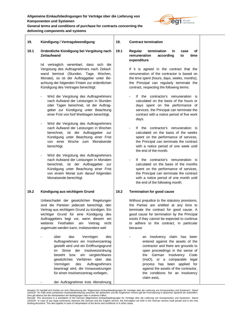

**General terms and conditions of purchase for contracts concerning the delivering components and systems**

| 19.  | Kündigung / Vertragsbeendigung                                                                                                                                                                                                                                                                                                                                                   | 19.  | <b>Contract termination</b>                                                                                                                                                                                                                                                                                                                    |
|------|----------------------------------------------------------------------------------------------------------------------------------------------------------------------------------------------------------------------------------------------------------------------------------------------------------------------------------------------------------------------------------|------|------------------------------------------------------------------------------------------------------------------------------------------------------------------------------------------------------------------------------------------------------------------------------------------------------------------------------------------------|
| 19.1 | Ordentliche Kündigung bei Vergütung nach<br><b>Zeitaufwand</b><br>Ist vertraglich vereinbart, dass sich die<br>Vergütung des Auftragnehmers nach Zeitauf-                                                                                                                                                                                                                        | 19.1 | Regular<br>termination<br>in.<br>case<br>Οf<br>remuneration<br>according<br>to<br>time<br>expenditure<br>If it is agreed in the contract that the                                                                                                                                                                                              |
|      | wand bemisst (Stunden, Tage, Wochen,<br>Monate), so ist der Auftraggeber unter Be-<br>achtung der folgenden Fristen zur ordentlichen<br>Kündigung des Vertrages berechtigt:                                                                                                                                                                                                      |      | remuneration of the contractor is based on<br>the time spent (hours, days, weeks, months),<br>the Principal can regularly terminate the<br>contract, respecting the following terms:                                                                                                                                                           |
|      | Wird die Vergütung des Auftragnehmers<br>$\overline{\phantom{a}}$<br>nach Aufwand der Leistungen in Stunden<br>oder Tagen berechnet, ist der Auftrag-<br>geber zur Kündigung unter Beachtung<br>einer Frist von fünf Werktagen berechtigt.                                                                                                                                       |      | If the contractor's remuneration<br>is.<br>calculated on the basis of the hours or<br>days spent on the performance of<br>services, the Principal can terminate the<br>contract with a notice period of five work<br>days.                                                                                                                     |
|      | Wird die Vergütung des Auftragnehmers<br>$\overline{\phantom{a}}$<br>nach Aufwand der Leistungen in Wochen<br>berechnet, ist der Auftraggeber<br>zur<br>Kündigung unter Beachtung einer Frist<br>einer<br>Woche zum<br>Monatsende<br>von<br>berechtigt.                                                                                                                          |      | If the contractor's remuneration is<br>calculated on the basis of the weeks<br>spent on the performance of services,<br>the Principal can terminate the contract<br>with a notice period of one week until<br>the end of the month.                                                                                                            |
|      | Wird die Vergütung des Auftragnehmers<br>$\overline{\phantom{a}}$<br>nach Aufwand der Leistungen in Monaten<br>berechnet, ist der Auftraggeber<br>zur<br>Kündigung unter Beachtung einer Frist<br>von einem Monat zum darauf folgenden<br>Monatsende berechtigt.                                                                                                                 |      | If the contractor's remuneration is<br>calculated on the basis of the months<br>spent on the performance of services,<br>the Principal can terminate the contract<br>with a notice period of one month until<br>the end of the following month.                                                                                                |
| 19.2 | Kündigung aus wichtigem Grund                                                                                                                                                                                                                                                                                                                                                    | 19.2 | <b>Termination for good cause</b>                                                                                                                                                                                                                                                                                                              |
|      | Unbeschadet der gesetzlichen Regelungen<br>sind die Parteien jederzeit berechtigt, den<br>Vertrag aus wichtigem Grund zu kündigen. Ein<br>wichtiger Grund für eine Kündigung des<br>Auftraggebers liegt vor, wenn diesem ein<br>weiteres<br>Festhalten<br>am<br>Vertrag<br>nicht<br>zugemutet werden kann, insbesondere weil                                                     |      | Without prejudice to the statutory provisions,<br>the Parties are entitled at any time to<br>terminate the contract for good cause. A<br>good cause for termination by the Principal<br>exists if they cannot be expected to continue<br>to adhere to the contract, in particular<br>because                                                   |
|      | über<br>das<br>Vermögen<br>des<br>Auftragnehmers ein Insolvenzantrag<br>gestellt wird und ein Eröffnungsgrund<br>Sinne der Insolvenzordnung<br>im<br>besteht bzw. ein vergleichbares<br>gesetzliches Verfahren über das<br>Auftragnehmers<br>Vermögen<br>des<br>beantragt wird, die Voraussetzungen<br>für einen Insolvenzantrag vorliegen,<br>der Auftragnehmer trotz Abmahnung |      | an insolvency claim has been<br>entered against the assets of the<br>contractor and there are grounds to<br>open proceedings in the sense of<br>the German<br>Insolvency<br>Code<br>(InsO), or a comparable legal<br>process has been applied for<br>against the assets of the contractor,<br>the conditions for an insolvency<br>claim exist, |
|      |                                                                                                                                                                                                                                                                                                                                                                                  |      |                                                                                                                                                                                                                                                                                                                                                |

Hinweis: Es handelt sich hierbei um eine Ubersetzung der "Allgemeinen Einkaufsbedingungen für Verträge über die Lieferung von Komponenten und Systemen", Stand<br>10/2018". Im Falle einer juristischen Auseinandersetzung zwisch

<sup>10/2018&</sup>quot;. In case of any legal controversy between the German and the English version, the formulation set forth in the German version shall prevail and is the only<br>binding document. This also applies in case of interpreta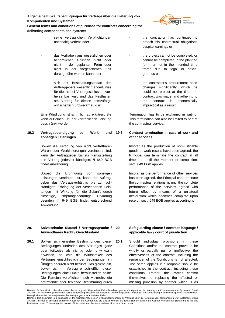

# **delivering components and systems**

|      | seine vertraglichen Verpflichtungen<br>nachhaltig verletzt oder                                                                                                                                                                                                                                                                                                                                                                                                             | the contractor has continued to<br>breach his contractual obligations<br>despite warnings or                                                                                                                                                                                                                                                                                                                                                                            |              |
|------|-----------------------------------------------------------------------------------------------------------------------------------------------------------------------------------------------------------------------------------------------------------------------------------------------------------------------------------------------------------------------------------------------------------------------------------------------------------------------------|-------------------------------------------------------------------------------------------------------------------------------------------------------------------------------------------------------------------------------------------------------------------------------------------------------------------------------------------------------------------------------------------------------------------------------------------------------------------------|--------------|
|      | das Vorhaben aus gesetzlichen oder<br>behördlichen Gründen nicht oder<br>nicht in der geplanten Form oder<br>nicht in der vorgesehenen<br>Zeit<br>durchgeführt werden kann oder                                                                                                                                                                                                                                                                                             | the project cannot be completed, or<br>cannot be completed in the planned<br>form, or not in the intended time<br>frame due to legal or official<br>grounds or                                                                                                                                                                                                                                                                                                          |              |
|      | sich der Beschaffungsbedarf des<br>Auftraggebers wesentlich ändert, was<br>für diesen bei Vertragsschluss unvor-<br>hersehbar war, und das Festhalten<br>am Vertrag für diesen demzufolge<br>wirtschaftlich unzweckmäßig ist.                                                                                                                                                                                                                                               | the contractor's procurement need<br>changes significantly, which he<br>could not predict at the time the<br>contract was made, and adhering to<br>contract<br>is<br>the<br>impractical as a result.                                                                                                                                                                                                                                                                    | economically |
|      | Eine Kündigung ist schriftlich zu erklären. Sie<br>kann auf einen Teil der vertraglichen Leistung<br>beschränkt werden.                                                                                                                                                                                                                                                                                                                                                     | Termination has to be explained in writing.<br>This termination can also be limited to part of<br>the contractual service.                                                                                                                                                                                                                                                                                                                                              |              |
| 19.3 | Vertragsbeendigung<br>bei<br>Werk-<br>und<br>sonstigen Leistungen                                                                                                                                                                                                                                                                                                                                                                                                           | 19.3<br>Contract termination in case of work and<br>other services                                                                                                                                                                                                                                                                                                                                                                                                      |              |
|      | Soweit die Fertigung von nicht vertretbaren<br>Waren oder Werklieferungen vereinbart sind,<br>kann der Auftraggeber bis zur Fertigstellung<br>den Vertrag jederzeit kündigen; § 649 BGB<br>findet Anwendung.                                                                                                                                                                                                                                                                | Insofar as the production of non-justifiable<br>goods or work results have been agreed, the<br>Principal can terminate the contract at all<br>times up until the moment of completion;<br>sect. 649 BGB applies.                                                                                                                                                                                                                                                        |              |
|      | Soweit<br>die<br>Erbringung<br>von<br>sonstigen<br>Leistungen vereinbart ist, kann der Auftrag-<br>geber das Vertragsverhältnis bis zur voll-<br>ständigen Erbringung der vereinbarten Leis-<br>tungen mit Wirkung für die Zukunft durch<br>einseitige,<br>empfangsbedürftige<br>Erklärung<br>beenden; § 649 BGB findet entsprechend<br>Anwendung.                                                                                                                          | Insofar as the performance of other services<br>has been agreed, the Principal can terminate<br>the contractual relationship until the complete<br>performance of the services agreed with<br>future effect by means of a unilateral<br>declaration which becomes complete upon<br>receipt; sect. 649 BGB applies accordingly.                                                                                                                                          |              |
| 20.  | Salvatorische Klausel / Vertragssprache /<br>Anwendbares Recht / Gerichtsstand                                                                                                                                                                                                                                                                                                                                                                                              | 20.<br>Safeguarding clause / contract language /<br>applicable law / court of jurisdiction                                                                                                                                                                                                                                                                                                                                                                              |              |
| 20.1 | Sollten sich einzelne Bestimmungen dieser<br>Bedingungen und/oder des Vertrages ganz<br>oder teilweise als nichtig oder unwirksam<br>erweisen, so wird die Wirksamkeit des<br>Vertrages einschließlich der Bedingungen im<br>Übrigen dadurch nicht berührt. Das gleiche gilt,<br>soweit sich im Vertrag einschließlich dieser<br>Bedingungen eine Lücke herausstellen sollte.<br>Die Parteien verpflichten sich vielmehr, die<br>betreffende oder fehlende Bestimmung durch | 20.1<br>Should<br>individual<br>provisions<br>Conditions and/or the contract prove to be<br>wholly or partially null or ineffective, the<br>effectiveness of the contract including the<br>remainder of the Conditions is not affected.<br>The same applies if a loophole should be<br>established in the contract, including these<br>conditions.<br>Rather, the Parties commit<br>themselves to replacing the affected or<br>missing provision by another which is as | in.<br>these |

Hinweis: Es handelt sich hierbei um eine Ubersetzung der "Allgemeinen Einkaufsbedingungen für Verträge über die Lieferung von Komponenten und Systemen", Stand<br>10/2018". Im Falle einer juristischen Auseinandersetzung zwisch

<sup>10/2018&</sup>quot;. In case of any legal controversy between the German and the English version, the formulation set forth in the German version shall prevail and is the only<br>binding document. This also applies in case of interpreta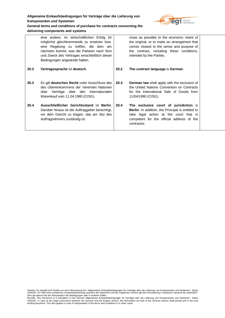

# **General terms and conditions of purchase for contracts concerning the delivering components and systems**

|      | eine andere, im wirtschaftlichen Erfolg ihr<br>möglichst gleichkommende zu ersetzen bzw.<br>eine Regelung zu treffen, die dem am<br>nächsten kommt, was die Parteien nach Sinn<br>und Zweck des Vertrages einschließlich dieser<br>Bedingungen angestrebt hatten. |      | close as possible to the economic intent of<br>the original, or to make an arrangement that<br>comes closest to the sense and purpose of<br>the contract, including these conditions,<br>intended by the Parties. |  |
|------|-------------------------------------------------------------------------------------------------------------------------------------------------------------------------------------------------------------------------------------------------------------------|------|-------------------------------------------------------------------------------------------------------------------------------------------------------------------------------------------------------------------|--|
| 20.2 | Vertragssprache ist deutsch.                                                                                                                                                                                                                                      | 20.2 | The contract language is German.                                                                                                                                                                                  |  |
| 20.3 | Es gilt deutsches Recht unter Ausschluss des<br>des Übereinkommens der Vereinten Nationen<br>über Verträge über den internationalen<br>Warenkauf vom 11.04.1980 (CISG).                                                                                           | 20.3 | <b>German law</b> shall apply with the exclusion of<br>the United Nations Convention on Contracts<br>for the International Sale of Goods from<br>11/04/1980 (CISG).                                               |  |
| 20.4 | Ausschließlicher Gerichtsstand ist Berlin.<br>Darüber hinaus ist der Auftraggeber berechtigt,<br>vor dem Gericht zu klagen, das am Sitz des<br>Auftragnehmers zuständig ist.                                                                                      | 20.4 | The exclusive court of jurisdiction is<br><b>Berlin.</b> In addition, the Principal is entitled to<br>take legal action at the court that is<br>competent for the official address of the<br>contractor.          |  |

Hinweis: Es handelt sich hierbei um eine Ubersetzung der "Allgemeinen Einkaufsbedingungen für Verträge über die Lieferung von Komponenten und Systemen", Stand<br>10/2018". Im Falle einer juristischen Auseinandersetzung zwisch

<sup>10/2018&</sup>quot;. In case of any legal controversy between the German and the English version, the formulation set forth in the German version shall prevail and is the only<br>binding document. This also applies in case of interpreta